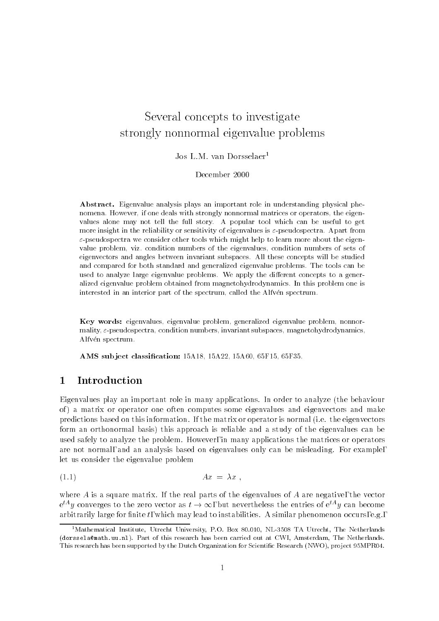# Several concepts to investigatestrongly nonnormal eigenvalue problems

## Jos L.M. van Dorsselaer<sup>1</sup>

### December 2000

Abstract. Eigenvalue analysis plays an important role in understanding physical phenomena. However, if one deals with strongly nonnormal matrices or operators, the eigenvalues alone may not tell the full story. A popular tool which can be useful to get more insight in the reliability or sensitivity of eigenvalues is  $\varepsilon$ -pseudospectra. Apart from  $\varepsilon$ -pseudospectra we consider other tools which might help to learn more about the eigenvalue problem, viz. condition numbers of the eigenvalues, condition numbers of sets of eigenvectors and angles between invariant subspaces. All these concepts will be studied and compared for both standard and generalized eigenvalue problems. The tools can be used to analyze large eigenvalue problems. We apply the different concepts to a generalized eigenvalue problem obtained from magnetohydrodynamics. In this problem one is interested in an interior part of the spectrum, called the Alfven spectrum.

Key words: eigenvalues, eigenvalue problem, generalized eigenvalue problem, nonnormality,  $\varepsilon$ -pseudospectra, condition numbers, invariant subspaces, magnetohydrodynamics, Alfvén spectrum.

AMS subject classification: 15A18, 15A22, 15A60, 65F15, 65F35.

#### **Introduction**  $\mathbf{1}$

Eigenvalues play an important role in many applications. In order to analyze (the behaviour of ) a matrix or operator one often computes some eigenvalues and eigenvectors and make predictions based on this information. If the matrix or operator is normal (i.e. the eigenvectors form an orthonormal basis) this approach is reliable and a study of the eigenvalues can be used safely to analyze the problem. However, in many applications the matrices or operators are not normal, and an analysis based on eigenvalues only can be misleading. For example, let us consider the eigenvalue problem

$$
(1.1) \t\t\t Ax = \lambda x ,
$$

where A is a square matrix. If the real parts of the eigenvalues of A are negative, the vector  $e^{iA}y$  converges to the zero vector as  $t\to\infty$ , but nevertheless the entries of  $e^{iA}y$  can become arbitrarily large for finite t, which may lead to instabilities. A similar phenomenon occurs, e.g.,

<sup>&</sup>lt;sup>1</sup>Mathematical Institute, Utrecht University, P.O. Box 80.010, NL-3508 TA Utrecht, The Netherlands (dorssela@math.uu.nl). Part of this research has been carried out at CWI, Amsterdam, The Netherlands. This research has been supported by the Dutch Organization for Scientific Research (NWO), project 95MPR04.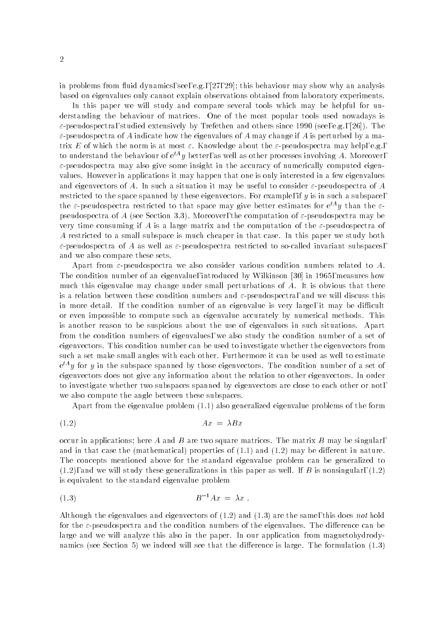in problems from fluid dynamics, see, e.g.,  $[27, 29]$ ; this behaviour may show why an analysis based on eigenvalues only cannot explain observations obtained from laboratory experiments.

In this paper we will study and compare several tools which may be helpful for understanding the behaviour of matrices. One of the most popular tools used nowadays is  $\varepsilon$ -pseudospectra, studied extensively by Trefethen and others since 1990 (see, e.g., [26]). The  $\varepsilon$ -pseudospectra of A indicate how the eigenvalues of A may change if A is perturbed by a matrix E of which the norm is at most  $\varepsilon$ . Knowledge about the  $\varepsilon$ -pseudospectra may help, e.g., to understand the behaviour of  $e^{tA}y$  better, as well as other processes involving A. Moreover,  $\varepsilon$ -pseudospectra may also give some insight in the accuracy of numerically computed eigenvalues. However in applications it may happen that one is only interested in a few eigenvalues and eigenvectors of A. In such a situation it may be useful to consider  $\varepsilon$ -pseudospectra of A restricted to the space spanned by these eigenvectors. For example, if y is in such a subspace, the  $\varepsilon$ -pseudospectra restricted to that space may give better estimates for  $e^{tA}y$  than the  $\varepsilon$ pseudospectra of A (see Section 3.3). Moreover, the computation of  $\varepsilon$ -pseudospectra may be very time consuming if A is a large matrix and the computation of the  $\varepsilon$ -pseudospectra of A restricted to a small subspace is much cheaper in that case. In this paper we study both  $\varepsilon$ -pseudospectra of A as well as  $\varepsilon$ -pseudospectra restricted to so-called invariant subspaces, and we also compare these sets.

Apart from  $\varepsilon$ -pseudospectra we also consider various condition numbers related to A. The condition number of an eigenvalue, introduced by Wilkinson [30] in 1965, measures how much this eigenvalue may change under small perturbations of  $A$ . It is obvious that there is a relation between these condition numbers and  $\varepsilon$ -pseudospectra, and we will discuss this in more detail. If the condition number of an eigenvalue is very large, it may be difficult or even impossible to compute such an eigenvalue accurately by numerical methods. This is another reason to be suspicious about the use of eigenvalues in such situations. Apart from the condition numbers of eigenvalues, we also study the condition number of a set of eigenvectors. This condition number can be used to investigate whether the eigenvectors from such a set make small angles with each other. Furthermore it can be used as well to estimate  $\mathrm{e}^{-\epsilon}y$  for  $y$  in the subspace spanned by those eigenvectors. The condition number of a set of eigenvectors does not give any information about the relation to other eigenvectors. In order to investigate whether two subspaces spanned by eigenvectors are close to each other or not, we also compute the angle between these subspaces.

Apart from the eigenvalue problem (1.1) also generalized eigenvalue problems of the form

$$
(1.2)\quad \ \ \, Ax\ =\ \lambda Bx
$$

occur in applications; here A and B are two square matrices. The matrix B may be singular, and in that case the (mathematical) properties of  $(1.1)$  and  $(1.2)$  may be different in nature. The concepts mentioned above for the standard eigenvalue problem can be generalized to  $(1.2)$ , and we will study these generalizations in this paper as well. If B is nonsingular,  $(1.2)$ is equivalent to the standard eigenvalue problem

$$
(1.3) \t\t\t B^{-1}Ax = \lambda x.
$$

Although the eigenvalues and eigenvectors of  $(1.2)$  and  $(1.3)$  are the same, this does not hold for the  $\varepsilon$ -pseudospectra and the condition numbers of the eigenvalues. The difference can be large and we will analyze this also in the paper. In our application from magnetohydrodynamics (see Section 5) we indeed will see that the difference is large. The formulation  $(1.3)$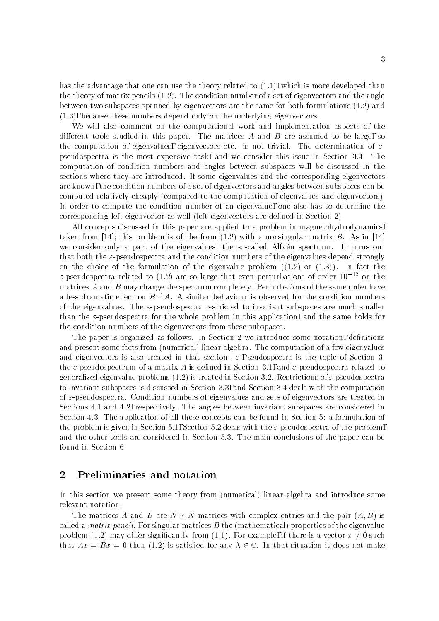has the advantage that one can use the theory related to (1.1), which is more developed than the theory of matrix pencils (1.2). The condition number of a set of eigenvectors and the angle between two subspaces spanned by eigenvectors are the same for both formulations (1.2) and (1.3), because these numbers depend only on the underlying eigenvectors.

We will also comment on the computational work and implementation aspects of the different tools studied in this paper. The matrices  $A$  and  $B$  are assumed to be large, so the computation of eigenvalues, eigenvectors etc. is not trivial. The determination of  $\varepsilon$ pseudospectra is the most expensive task, and we consider this issue in Section 3.4. The computation of condition numbers and angles between subspaces will be discussed in the sections where they are introduced. If some eigenvalues and the corresponding eigenvectors are known, the condition numbers of a set of eigenvectors and angles between subspaces can be computed relatively cheaply (compared to the computation of eigenvalues and eigenvectors). In order to compute the condition number of an eigenvalue, one also has to determine the corresponding left eigenvector as well (left eigenvectors are dened in Section 2).

All concepts discussed in this paper are applied to a problem in magnetohydrodynamics, taken from [14]; this problem is of the form  $(1.2)$  with a nonsingular matrix B. As in [14] we consider only a part of the eigenvalues, the so-called Alfvén spectrum. It turns out that both the  $\varepsilon$ -pseudospectra and the condition numbers of the eigenvalues depend strongly on the choice of the formulation of the eigenvalue problem  $((1.2)$  or  $(1.3)$ ). In fact the  $\varepsilon$ -pseudospectra related to (1.2) are so large that even perturbations of order  $10^{-12}$  on the matrices  $A$  and  $B$  may change the spectrum completely. Perturbations of the same order have a less dramatic effect on  $B^{-1}A$ . A similar behaviour is observed for the condition numbers of the eigenvalues. The  $\varepsilon$ -pseudospectra restricted to invariant subspaces are much smaller than the  $\varepsilon$ -pseudospectra for the whole problem in this application, and the same holds for the condition numbers of the eigenvectors from these subspaces.

The paper is organized as follows. In Section 2 we introduce some notation, definitions and present some facts from (numerical) linear algebra. The computation of a few eigenvalues and eigenvectors is also treated in that section.  $\varepsilon$ -Pseudospectra is the topic of Section 3: the  $\varepsilon$ -pseudospectrum of a matrix A is defined in Section 3.1, and  $\varepsilon$ -pseudospectra related to generalized eigenvalue problems  $(1.2)$  is treated in Section 3.2. Restrictions of  $\varepsilon$ -pseudospectra to invariant subspaces is discussed in Section 3.3, and Section 3.4 deals with the computation of  $\varepsilon$ -pseudospectra. Condition numbers of eigenvalues and sets of eigenvectors are treated in Sections 4.1 and 4.2, respectively. The angles between invariant subspaces are considered in Section 4.3. The application of all these concepts can be found in Section 5: a formulation of the problem is given in Section 5.1, Section 5.2 deals with the  $\varepsilon$ -pseudospectra of the problem. and the other tools are considered in Section 5.3. The main conclusions of the paper can be found in Section 6.

# 2 Preliminaries and notation

In this section we present some theory from (numerical) linear algebra and introduce some relevant notation.

The matrices A and B are N  $\times$  N matrices with complex entries and the pair  $(A, B)$  is called a *matrix pencil*. For singular matrices  $B$  the (mathematical) properties of the eigenvalue problem (1.2) may differ significantly from (1.1). For example, if there is a vector  $x \neq 0$  such that  $Ax = Bx = 0$  then (1.2) is satisfied for any  $\lambda \in \mathbb{C}$ . In that situation it does not make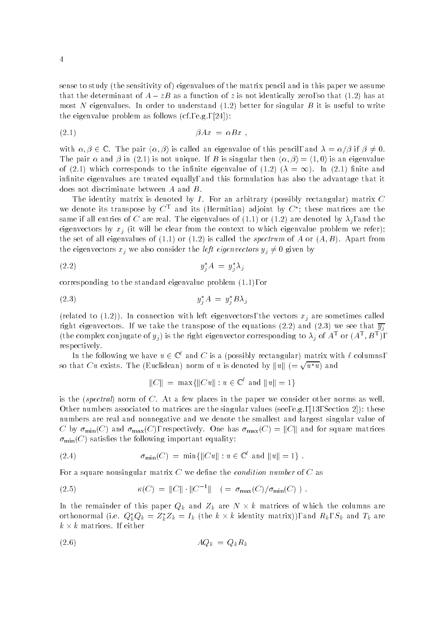sense to study (the sensitivity of ) eigenvalues of the matrix pencil and in this paper we assume that the determinant of  $A - zB$  as a function of z is not identically zero, so that (1.2) has at most N eigenvalues. In order to understand  $(1.2)$  better for singular B it is useful to write the eigenvalue problem as follows (cf., e.g., [24]):

$$
\beta Ax = \alpha Bx \ ,
$$

with  $\alpha, \beta \in \mathbb{C}$ . The pair  $\langle \alpha, \beta \rangle$  is called an eigenvalue of this pencil, and  $\lambda = \alpha/\beta$  if  $\beta \neq 0$ . The pair  $\alpha$  and  $\beta$  in (2.1) is not unique. If B is singular then  $\langle \alpha, \beta \rangle = \langle 1, 0 \rangle$  is an eigenvalue of (2.1) which corresponds to the infinite eigenvalue of (1.2) ( $\lambda = \infty$ ). In (2.1) finite and infinite eigenvalues are treated equally, and this formulation has also the advantage that it does not discriminate between A and B.

The identity matrix is denoted by  $I$ . For an arbitrary (possibly rectangular) matrix  $C$ we denote its transpose by  $C^+$  and its (Hermitian) adjoint by  $C^+$ ; these matrices are the same if all entries of C are real. The eigenvalues of (1.1) or (1.2) are denoted by  $\lambda_j$ , and the eigenvectors by  $x_i$  (it will be clear from the context to which eigenvalue problem we refer); the set of all eigenvalues of  $(1.1)$  or  $(1.2)$  is called the *spectrum* of A or  $(A, B)$ . Apart from the eigenvectors  $x_j$  we also consider the *left eigenvectors*  $y_j \neq 0$  given by

$$
(2.2) \t\t y_j^* A = y_j^* \lambda_j
$$

corresponding to the standard eigenvalue problem (1.1), or

$$
(2.3) \t\t\t y_j^* A = y_j^* B \lambda_j
$$

(related to  $(1.2)$ ). In connection with left eigenvectors, the vectors  $x_j$  are sometimes called right eigenvectors. If we take the transpose of the equations (2.2) and (2.3) we see that  $\overline{y_j}$ (the complex conjugate of  $y_j$ ) is the right eigenvector corresponding to  $\lambda_j$  of  $A^+$  or  $(A^+, B^+)$ , respectively.

In the following we have  $u \in \mathbb{C}^{\ell}$  and C is a (possibly rectangular) matrix with  $\ell$  columns. so that  $Cu$  exists. The (Euclidean) norm of  $u$  is denoted by  $\|u\|$   $(=\sqrt{u^*u})$  and

$$
||C|| = \max{||Cu|| : u \in \mathbb{C}^{\ell} \text{ and } ||u|| = 1}
$$

is the (spectral) norm of  $C$ . At a few places in the paper we consider other norms as well. Other numbers associated to matrices are the singular values (see, e.g., [13, Section 2]): these numbers are real and nonnegative and we denote the smallest and largest singular value of C by  $\sigma_{\min}(C)$  and  $\sigma_{\max}(C)$ , respectively. One has  $\sigma_{\max}(C) = ||C||$  and for square matrices  $\sigma_{\min}(C)$  satisfies the following important equality:

(2.4) 
$$
\sigma_{\min}(C) = \min \{ ||Cu|| : u \in \mathbb{C}^{\ell} \text{ and } ||u|| = 1 \} .
$$

For a square nonsingular matrix  $C$  we define the *condition number* of  $C$  as

(2.5) 
$$
\kappa(C) = ||C|| \cdot ||C^{-1}|| \quad (=\sigma_{\max}(C)/\sigma_{\min}(C)) .
$$

In the remainder of this paper  $Q_k$  and  $Z_k$  are  $N \times k$  matrices of which the columns are orthonormal (i.e.  $Q_k^*Q_k = Z_k^*Z_k = I_k$  (the  $k \times k$  identity matrix)), and  $R_k,$   $S_k$  and  $T_k$  are  $k \times k$  matrices. If either

$$
(2.6) \t\t AQ_k = Q_k R_k
$$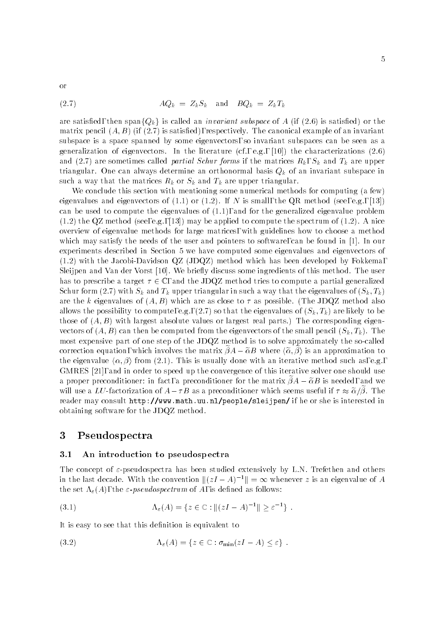or

are satisfied, then span ${Q_k}$  is called an *invariant subspace* of A (if (2.6) is satisfied) or the matrix pencil  $(A, B)$  (if (2.7) is satisfied), respectively. The canonical example of an invariant subspace is a space spanned by some eigenvectors, so invariant subspaces can be seen as a generalization of eigenvectors. In the literature  $(cf., e.g., [10])$  the characterizations  $(2.6)$ and (2.7) are sometimes called *partial Schur forms* if the matrices  $R_k$ ,  $S_k$  and  $T_k$  are upper triangular. One can always determine an orthonormal basis  $Q_k$  of an invariant subspace in such a way that the matrices  $R_k$  or  $S_k$  and  $T_k$  are upper triangular.

We conclude this section with mentioning some numerical methods for computing (a few) eigenvalues and eigenvectors of  $(1.1)$  or  $(1.2)$ . If N is small, the QR method (see, e.g., [13]) can be used to compute the eigenvalues of (1.1), and for the generalized eigenvalue problem  $(1.2)$  the QZ method (see, e.g., [13]) may be applied to compute the spectrum of  $(1.2)$ . A nice overview of eigenvalue methods for large matrices, with guidelines how to choose a method which may satisfy the needs of the user and pointers to software, can be found in [1]. In our experiments described in Section 5 we have computed some eigenvalues and eigenvectors of (1.2) with the Jacobi-Davidson QZ (JDQZ) method which has been developed by Fokkema, Sleijpen and Van der Vorst [10]. We briefly discuss some ingredients of this method. The user has to prescribe a target  $\tau \in \mathbb{C}$ , and the JDQZ method tries to compute a partial generalized Schur form (2.7) with  $S_k$  and  $T_k$  upper triangular in such a way that the eigenvalues of  $(S_k, T_k)$ are the k eigenvalues of  $(A, B)$  which are as close to  $\tau$  as possible. (The JDQZ method also allows the possibility to compute, e.g., (2.7) so that the eigenvalues of  $(S_k, T_k)$  are likely to be those of  $(A, B)$  with largest absolute values or largest real parts.) The corresponding eigenvectors of  $(A, B)$  can then be computed from the eigenvectors of the small pencil  $(S_k, T_k)$ . The most expensive part of one step of the JDQZ method is to solve approximately the so-called correction equation, which involves the matrix  $\tilde{\beta}A-\tilde{\alpha}B$  where  $\langle \tilde{\alpha}, \tilde{\beta} \rangle$  is an approximation to the eigenvalue  $\langle \alpha, \beta \rangle$  from (2.1). This is usually done with an iterative method such as, e.g., GMRES [21], and in order to speed up the convergence of this iterative solver one should use a proper preconditioner: in fact, a preconditioner for the matrix  $\beta A - \tilde{\alpha} B$  is needed, and we will use a LU-factorization of  $A-\tau B$  as a preconditioner which seems useful if  $\tau \approx \tilde{\alpha}/\beta$ . The reader may consult http://www.math.uu.nl/people/sleijpen/ if he or she is interested in obtaining software for the JDQZ method.

# 3 Pseudospectra

### 3.1 An introduction to pseudospectra

The concept of  $\varepsilon$ -pseudospectra has been studied extensively by L.N. Trefethen and others in the last decade. With the convention  $\|(zI - A)^{-1}\| = \infty$  whenever z is an eigenvalue of A the set  $\Lambda_{\varepsilon}(A)$ , the  $\varepsilon$ -pseudospectrum of A, is defined as follows:

(3.1) 
$$
\Lambda_{\varepsilon}(A) = \{ z \in \mathbb{C} : ||(zI - A)^{-1}|| \ge \varepsilon^{-1} \} .
$$

It is easy to see that this definition is equivalent to

(3.2) 
$$
\Lambda_{\varepsilon}(A) = \{ z \in \mathbb{C} : \sigma_{\min}(zI - A) \leq \varepsilon \} .
$$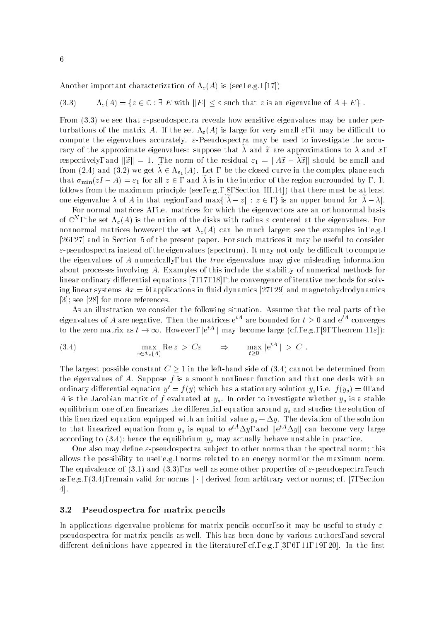Another important characterization of  $\Lambda_{\varepsilon}(A)$  is (see, e.g., [17])

(3.3) 
$$
\Lambda_{\varepsilon}(A) = \{ z \in \mathbb{C} : \exists E \text{ with } ||E|| \leq \varepsilon \text{ such that } z \text{ is an eigenvalue of } A + E \}.
$$

From (3.3) we see that  $\varepsilon$ -pseudospectra reveals how sensitive eigenvalues may be under perturbations of the matrix A. If the set  $\Lambda_{\varepsilon}(A)$  is large for very small  $\varepsilon$ , it may be difficult to compute the eigenvalues accurately.  $\varepsilon$ -Pseudospectra may be used to investigate the accuracy of the approximate eigenvalues: suppose that  $\lambda$  and  $\tilde{x}$  are approximations to  $\lambda$  and x, respectively, and  $\|\tilde{x}\|=1$ . The norm of the residual  $\varepsilon_1 = \|A\tilde{x} - \lambda \tilde{x}\|$  should be small and from (2.4) and (3.2) we get  $\lambda \in \Lambda_{\varepsilon_1}(A)$ . Let , be the closed curve in the complex plane such that  $\sigma_{\min}(zI - A) = \varepsilon_1$  for all  $z \in$ , and  $\lambda$  is in the interior of the region surrounded by , . It follows from the maximum principle (see, e.g.,  $[8]$ , Section III.14]) that there must be at least one eigenvalue  $\lambda$  of A in that region, and  $\max\{\vert\tilde{\lambda}-z\vert : z\in\mathcal{A}\}\vert$  is an upper bound for  $\vert\tilde{\lambda}-\lambda\vert$ .

For normal matrices A, i.e. matrices for which the eigenvectors are an orthonormal basis of  $\mathbb{C}^n$  , the set  $\Lambda_\varepsilon(A)$  is the union of the disks with radius  $\varepsilon$  centered at the eigenvalues. For nonnormal matrices however, the set  $\Lambda_{\varepsilon}(A)$  can be much larger; see the examples in, e.g., [26, 27] and in Section 5 of the present paper. For such matrices it may be useful to consider  $\varepsilon$ -pseudospectra instead of the eigenvalues (spectrum). It may not only be difficult to compute the eigenvalues of A numerically, but the true eigenvalues may give misleading information about processes involving A. Examples of this include the stability of numerical methods for linear ordinary differential equations  $[7, 17, 18]$ , the convergence of iterative methods for solving linear systems  $Ax = b$ , applications in fluid dynamics [27, 29] and magnetohydrodynamics [3]; see [28] for more references.

As an illustration we consider the following situation. Assume that the real parts of the eigenvalues of A are negative. Then the matrices  $e^{tA}$  are bounded for  $t > 0$  and  $e^{tA}$  converges to the zero matrix as  $t\to\infty$ . However,  $\|e^{tA}\|$  may become large (cf., e.g., [9, Theorem 11 $\varepsilon$ ]):

(3.4) 
$$
\max_{z \in \Lambda_{\varepsilon}(A)} \text{Re } z > C \varepsilon \quad \Rightarrow \quad \max_{t \geq 0} \|e^{tA}\| > C.
$$

The largest possible constant  $C > 1$  in the left-hand side of (3.4) cannot be determined from the eigenvalues of A. Suppose  $f$  is a smooth nonlinear function and that one deals with an ordinary differential equation  $y' = f(y)$  which has a stationary solution  $y_s$ , i.e.  $f(y_s) = 0$ , and A is the Jacobian matrix of f evaluated at  $y_s$ . In order to investigate whether  $y_s$  is a stable equilibrium one often linearizes the differential equation around  $y_s$  and studies the solution of this linearized equation equipped with an initial value  $y_s + \Delta y$ . The deviation of the solution to that linearized equation from  $y_s$  is equal to  $e^{tA}\Delta y$ , and  $\|e^{tA}\Delta y\|$  can become very large according to  $(3.4)$ ; hence the equilibrium  $y_s$  may actually behave unstable in practice.

One also may define  $\varepsilon$ -pseudospectra subject to other norms than the spectral norm; this allows the possibility to use, e.g., norms related to an energy norm, or the maximum norm. The equivalence of (3.1) and (3.3), as well as some other properties of  $\varepsilon$ -pseudospectra, such as, e.g.,  $(3.4)$ , remain valid for norms  $\|\cdot\|$  derived from arbitrary vector norms; cf. [7, Section 4].

### 3.2 Pseudospectra for matrix pencils

In applications eigenvalue problems for matrix pencils occur, so it may be useful to study  $\varepsilon$ pseudospectra for matrix pencils as well. This has been done by various authors, and several different definitions have appeared in the literature, cf., e.g.,  $[3, 6, 11, 19, 20]$ . In the first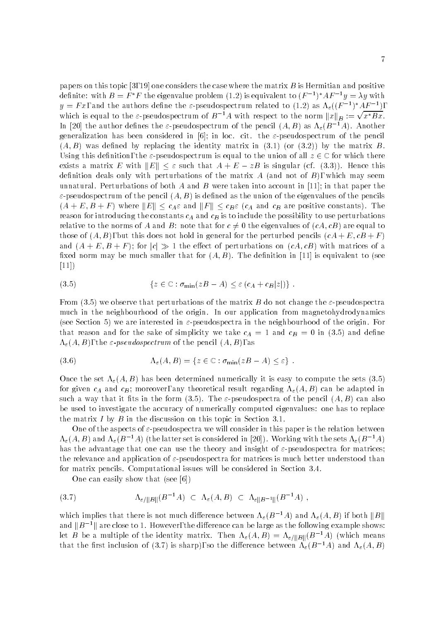papers on this topic [3, 19] one considers the case where the matrix  $B$  is Hermitian and positive definite: with  $B = F/T$  the eigenvalue problem (1.2) is equivalent to  $(F^{-1})^+ A F^{-1} y = \lambda y$  with  $y = F x$ , and the authors define the *E*-pseudospectrum related to (1.2) as  $\Lambda_{\varepsilon}((F^{-1})^* A F^{-1})$ , which is equal to the  $\varepsilon$ -pseudospectrum of  $B^{-1}A$  with respect to the norm  $||x||_B := \sqrt{x^*Bx}$ . In [20] the author defines the  $\varepsilon$ -pseudospectrum of the pencil  $(A, B)$  as  $\Lambda_{\varepsilon}(B^{-1}A)$ . Another generalization has been considered in [6]; in loc. cit. the  $\varepsilon$ -pseudospectrum of the pencil  $(A, B)$  was defined by replacing the identity matrix in  $(3.1)$  (or  $(3.2)$ ) by the matrix B. Using this definition, the  $\varepsilon$ -pseudospectrum is equal to the union of all  $z \in \mathbb{C}$  for which there exists a matrix E with  $||E|| \leq \varepsilon$  such that  $A + E - zB$  is singular (cf. (3.3)). Hence this definition deals only with perturbations of the matrix  $A$  (and not of  $B$ ), which may seem unnatural. Perturbations of both A and B were taken into account in [11]; in that paper the  $\varepsilon$ -pseudospectrum of the pencil  $(A, B)$  is defined as the union of the eigenvalues of the pencils  $(A + E, B + F)$  where  $||E|| \le c_A \varepsilon$  and  $||F|| \le c_B \varepsilon$   $(c_A$  and  $c_B$  are positive constants). The reason for introducing the constants  $c_A$  and  $c_B$  is to include the possibility to use perturbations relative to the norms of A and B: note that for  $c \neq 0$  the eigenvalues of  $(cA, cB)$  are equal to those of  $(A, B)$ , but this does not hold in general for the perturbed pencils  $(cA + E, cB + F)$ and  $(A + E, B + F)$ ; for  $|c| \gg 1$  the effect of perturbations on  $(cA, cB)$  with matrices of a fixed norm may be much smaller that for  $(A, B)$ . The definition in [11] is equivalent to (see [11])

(3.5) 
$$
\{z \in \mathbb{C} : \sigma_{\min}(zB - A) \leq \varepsilon (c_A + c_B|z|)\}.
$$

From (3.5) we observe that perturbations of the matrix B do not change the  $\varepsilon$ -pseudospectra much in the neighbourhood of the origin. In our application from magnetohydrodynamics (see Section 5) we are interested in  $\varepsilon$ -pseudospectra in the neighbourhood of the origin. For that reason and for the sake of simplicity we take  $c_A = 1$  and  $c_B = 0$  in (3.5) and define  $\Lambda_{\varepsilon}(A, B)$ , the  $\varepsilon$ -pseudospectrum of the pencil  $(A, B)$ , as

(3.6) 
$$
\Lambda_{\varepsilon}(A,B) = \{ z \in \mathbb{C} : \sigma_{\min}(zB - A) \leq \varepsilon \} .
$$

Once the set  $\Lambda_{\varepsilon}(A, B)$  has been determined numerically it is easy to compute the sets (3.5) for given  $c_A$  and  $c_B$ ; moreover, any theoretical result regarding  $\Lambda_{\varepsilon}(A, B)$  can be adapted in such a way that it fits in the form (3.5). The  $\varepsilon$ -pseudospectra of the pencil  $(A, B)$  can also be used to investigate the accuracy of numerically computed eigenvalues: one has to replace the matrix  $I$  by  $B$  in the discussion on this topic in Section 3.1.

One of the aspects of  $\varepsilon$ -pseudospectra we will consider in this paper is the relation between  $\Lambda_{\varepsilon}(A, B)$  and  $\Lambda_{\varepsilon}(B^{-1}A)$  (the latter set is considered in [20]). Working with the sets  $\Lambda_{\varepsilon}(B^{-1}A)$ has the advantage that one can use the theory and insight of  $\varepsilon$ -pseudospectra for matrices; the relevance and application of  $\varepsilon$ -pseudospectra for matrices is much better understood than for matrix pencils. Computational issues will be considered in Section 3.4.

One can easily show that (see [6])

$$
(3.7) \qquad \Lambda_{\varepsilon/||B||}(B^{-1}A) \subset \Lambda_{\varepsilon}(A,B) \subset \Lambda_{\varepsilon||B^{-1}||}(B^{-1}A) ,
$$

which implies that there is not much difference between  $\Lambda_{\varepsilon}(B^{-1}A)$  and  $\Lambda_{\varepsilon}(A, B)$  if both  $||B||$ and  $||B^{-1}||$  are close to 1. However, the difference can be large as the following example shows: let B be a multiple of the identity matrix. Then  $\Lambda_{\varepsilon}(A, B)=\Lambda_{\varepsilon/||B||}(B^{-1}A)$  (which means that the first inclusion of (3.7) is sharp), so the difference between  $\Lambda_{\varepsilon}(B^{-1}A)$  and  $\Lambda_{\varepsilon}(A, B)$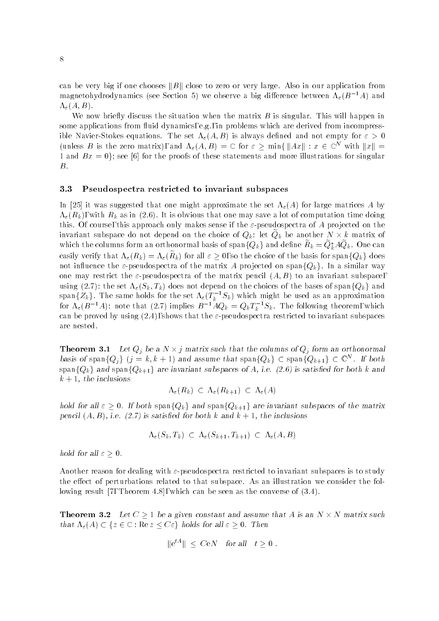can be very big if one chooses  $||B||$  close to zero or very large. Also in our application from magnetohydrodynamics (see Section 5) we observe a big difference between  $\Lambda_{\varepsilon}(B^{-1}A)$  and  $\Lambda_{\varepsilon}(A, B)$ .

We now briefly discuss the situation when the matrix  $B$  is singular. This will happen in some applications from fluid dynamics, e.g., in problems which are derived from incompressible Navier-Stokes equations. The set  $\Lambda_{\varepsilon}(A, B)$  is always defined and not empty for  $\varepsilon > 0$ (unless B is the zero matrix), and  $\Lambda_{\varepsilon}(A, B) = \mathbb{C}$  for  $\varepsilon \ge \min\{||Ax|| : x \in \mathbb{C}^N \text{ with } ||x|| =$ 1 and  $Bx = 0$ ; see [6] for the proofs of these statements and more illustrations for singular B.

### 3.3 Pseudospectra restricted to invariant subspaces

In [25] it was suggested that one might approximate the set  $\Lambda_{\varepsilon}(A)$  for large matrices A by  $\Lambda_{\varepsilon}(R_k)$ , with  $R_k$  as in (2.6). It is obvious that one may save a lot of computation time doing this. Of course, this approach only makes sense if the  $\varepsilon$ -pseudospectra of A projected on the invariant subspace do not depend on the choice of  $Q_k$ : let  $Q_k$  be another  $N \times k$  matrix of which the columns form an orthonormal basis of span $\{Q_k\}$  and define  $R_k=Q_k^*AQ_k.$  One can easily verify that  $\Lambda_{\varepsilon}(R_k) = \Lambda_{\varepsilon}(R_k)$  for all  $\varepsilon \geq 0$ , so the choice of the basis for span $\{Q_k\}$  does not influence the  $\varepsilon$ -pseudospectra of the matrix A projected on span $\{Q_k\}$ . In a similar way one may restrict the  $\varepsilon$ -pseudospectra of the matrix pencil  $(A, B)$  to an invariant subspace, using (2.7): the set  $\Lambda_{\varepsilon}(S_k, T_k)$  does not depend on the choices of the bases of span $\{Q_k\}$  and span $\{Z_k\}.$  The same holds for the set  $\Lambda_\varepsilon(T_k^{-1}S_k)$  which might be used as an approximation for  $\Lambda_\varepsilon(B^{-1}A)$ : note that (2.7) implies  $B^{-1}A Q_k = Q_k I_k^{-1}S_k$ . The following theorem, which can be proved by using  $(2.4)$ , shows that the  $\varepsilon$ -pseudospectra restricted to invariant subspaces are nested.

**Theorem 3.1** Let  $Q_j$  be a  $N \times j$  matrix such that the columns of  $Q_j$  form an orthonormal basis of span $\{Q_i\}$   $(j = k, k + 1)$  and assume that span $\{Q_k\} \subset \text{span}\{Q_{k+1}\} \subset \mathbb{C}^N$ . If both span ${Q_k}$  and span ${Q_{k+1}}$  are invariant subspaces of A, i.e. (2.6) is satisfied for both k and  $k + 1$ , the inclusions

$$
\Lambda_{\varepsilon}(R_k) \, \subset \, \Lambda_{\varepsilon}(R_{k+1}) \, \subset \, \Lambda_{\varepsilon}(A)
$$

hold for all  $\varepsilon \geq 0$ . If both span $\{Q_k\}$  and span $\{Q_{k+1}\}$  are invariant subspaces of the matrix pencil  $\{A, B\}$ , i.e.  $\{2.7\}$  is satisfied for both k and  $\kappa \pm 1$ , the inclusions

$$
\Lambda_{\varepsilon}(S_k, T_k) \ \subset \ \Lambda_{\varepsilon}(S_{k+1}, T_{k+1}) \ \subset \ \Lambda_{\varepsilon}(A, B)
$$

hold for all  $\varepsilon \geq 0$ .

Another reason for dealing with  $\varepsilon$ -pseudospectra restricted to invariant subspaces is to study the effect of perturbations related to that subspace. As an illustration we consider the following result [7, Theorem 4.8], which can be seen as the converse of (3.4).

**Theorem 3.2** Let  $C \geq 1$  be a given constant and assume that A is an  $N \times N$  matrix such that  $\Lambda_{\varepsilon}(A) \subset \{z \in \mathbb{C} : \text{Re } z \leq C \varepsilon\}$  holds for all  $\varepsilon \geq 0$ . Then

$$
\|\mathrm{e}^{tA}\| \leq C\mathrm{e}N \quad \text{for all} \quad t \geq 0.
$$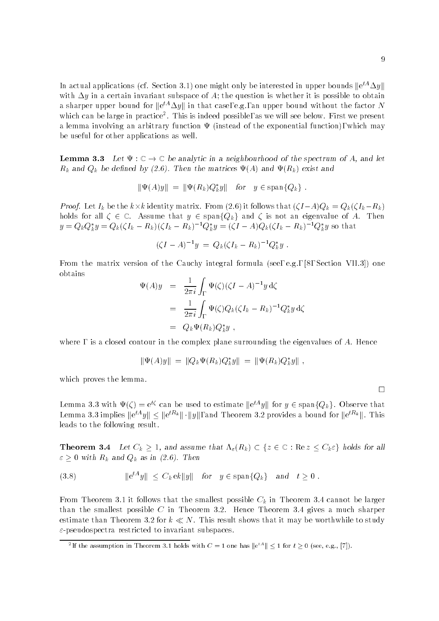In actual applications (cf. Section 3.1) one might only be interested in upper bounds  $\|{\rm e}^{tA}\Delta y\|$ with  $\Delta y$  in a certain invariant subspace of A; the question is whether it is possible to obtain a sharper upper bound for  $\|{\rm e}^{tA}\Delta y\|$  in that case, e.g., an upper bound without the factor  $N$ which can be large in practice . Inis is indeed possible, as we will see below. First we present a lemma involving an arbitrary function  $\Psi$  (instead of the exponential function), which may be useful for other applications as well.

**Lemma 3.3** Let  $\Psi : \mathbb{C} \to \mathbb{C}$  be analytic in a neighbourhood of the spectrum of A, and let  $R_k$  and  $Q_k$  be defined by (2.6). Then the matrices  $\Psi(A)$  and  $\Psi(R_k)$  exist and

$$
\|\Psi(A)y\| = \|\Psi(R_k)Q_k^*y\| \quad \text{for} \quad y \in \text{span}\{Q_k\} .
$$

Proof. Let  $I_k$  be the  $k\times k$  identity matrix. From (2.6) it follows that  $(\zeta I-A)Q_k=Q_k(\zeta I_k-R_k)$ holds for all  $\zeta \in \mathbb{C}$ . Assume that  $y \in \text{span}\{Q_k\}$  and  $\zeta$  is not an eigenvalue of A. Then  $y = Q_k Q_k y = Q_k (\zeta I_k - R_k)(\zeta I_k - R_k)$   $Q_k y = (\zeta I - A)Q_k(\zeta I_k - R_k)$   $Q_k y$  so that

$$
(\zeta I - A)^{-1}y = Q_k(\zeta I_k - R_k)^{-1}Q_k^*y.
$$

From the matrix version of the Cauchy integral formula (see, e.g., [8, Section VII.3]) one obtains

$$
\Psi(A)y = \frac{1}{2\pi i} \int_{\Gamma} \Psi(\zeta) (\zeta I - A)^{-1} y \, d\zeta
$$
  
\n
$$
= \frac{1}{2\pi i} \int_{\Gamma} \Psi(\zeta) Q_k (\zeta I_k - R_k)^{-1} Q_k^* y \, d\zeta
$$
  
\n
$$
= Q_k \Psi(R_k) Q_k^* y ,
$$

where, is a closed contour in the complex plane surrounding the eigenvalues of  $A$ . Hence

$$
\|\Psi(A)y\| = \|Q_k \Psi(R_k) Q_k^* y\| = \|\Psi(R_k) Q_k^* y\|,
$$

which proves the lemma.

Lemma 3.3 with  $\Psi(\zeta)=e^{t\zeta}$  can be used to estimate  $\|e^{tA}y\|$  for  $y\in \mathrm{span}\{Q_k\}$ . Observe that Lemma 3.3 implies  $\|e^{tA}y\| \leq \|e^{tK_k}\| \cdot \|y\|$ , and Theorem 3.2 provides a bound for  $\|e^{tK_k}\|$ . This leads to the following result.

**Theorem 3.4** Let  $C_k \geq 1$ , and assume that  $\Lambda_{\varepsilon}(R_k) \subset \{z \in \mathbb{C} : \text{Re } z \leq C_k \varepsilon\}$  holds for all  $\varepsilon \geq 0$  with  $R_k$  and  $Q_k$  as in (2.6). Then

$$
(3.8) \t\t\t ||e^{tA}y|| \le C_k e k ||y|| \tfor \t y \in \text{span}\{Q_k\} \tand \t t \ge 0.
$$

From Theorem 3.1 it follows that the smallest possible  $C_k$  in Theorem 3.4 cannot be larger than the smallest possible  $C$  in Theorem 3.2. Hence Theorem 3.4 gives a much sharper estimate than Theorem 3.2 for  $k \ll N$ . This result shows that it may be worthwhile to study  $\varepsilon$ -pseudospectra restricted to invariant subspaces.

 $\Box$ 

<sup>&</sup>lt;sup>2</sup>If the assumption in Theorem 3.1 holds with  $C=1$  one has  $\left\| \epsilon^{tA} \right\| \leq 1$  for  $t \geq 0$  (see, e.g., [7]).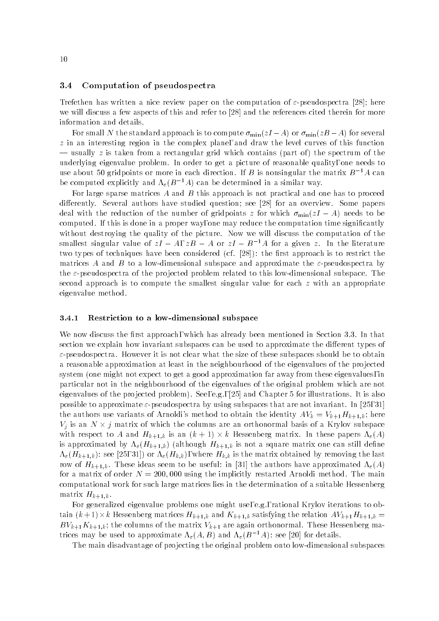### 3.4 Computation of pseudospectra

Trefethen has written a nice review paper on the computation of  $\varepsilon$ -pseudospectra [28]; here we will discuss a few aspects of this and refer to [28] and the references cited therein for more information and details.

For small N the standard approach is to compute  $\sigma_{\min}(zI - A)$  or  $\sigma_{\min}(zB - A)$  for several  $z$  in an interesting region in the complex plane, and draw the level curves of this function  $-$  usually z is taken from a rectangular grid which contains (part of) the spectrum of the underlying eigenvalue problem. In order to get a picture of reasonable quality, one needs to use about 50 gridpoints or more in each direction. If B is nonsingular the matrix  $B^{-1}A$  can be computed explicitly and  $\Lambda_{\varepsilon}(B^{-1}A)$  can be determined in a similar way.

For large sparse matrices  $A$  and  $B$  this approach is not practical and one has to proceed differently. Several authors have studied question; see [28] for an overview. Some papers deal with the reduction of the number of gridpoints z for which  $\sigma_{\min}(zI - A)$  needs to be computed. If this is done in a proper way, one may reduce the computation time significantly without destroying the quality of the picture. Now we will discuss the computation of the smallest singular value of  $zI - A$ ,  $zB - A$  or  $zI - B^{-1}A$  for a given z. In the literature two types of techniques have been considered (cf.  $[28]$ ): the first approach is to restrict the matrices A and B to a low-dimensional subspace and approximate the  $\varepsilon$ -pseudospectra by the  $\varepsilon$ -pseudospectra of the projected problem related to this low-dimensional subspace. The second approach is to compute the smallest singular value for each  $z$  with an appropriate eigenvalue method.

### 3.4.1 Restriction to a low-dimensional subspace

We now discuss the first approach, which has already been mentioned in Section 3.3. In that section we explain how invariant subspaces can be used to approximate the different types of  $\varepsilon$ -pseudospectra. However it is not clear what the size of these subspaces should be to obtain a reasonable approximation at least in the neighbourhood of the eigenvalues of the projected system (one might not expect to get a good approximation far away from these eigenvalues, in particular not in the neighbourhood of the eigenvalues of the original problem which are not eigenvalues of the pro jected problem). See, e.g., [25] and Chapter 5 for illustrations. It is also possible to approximate  $\varepsilon$ -pseudospectra by using subspaces that are not invariant. In [25, 31] the authors use variants of Arnoldi's method to obtain the identity  $AV_k = V_{k+1}H_{k+1,k}$ ; here  $V_j$  is an  $N \times j$  matrix of which the columns are an orthonormal basis of a Krylov subspace with respect to A and  $H_{k+1,k}$  is an  $(k+1) \times k$  Hessenberg matrix. In these papers  $\Lambda_{\varepsilon}(A)$ is approximated by  $\Lambda_{\varepsilon}(H_{k+1,k})$  (although  $H_{k+1,k}$  is not a square matrix one can still define  $\Lambda_{\varepsilon}(H_{k+1,k})$ : see [25, 31]) or  $\Lambda_{\varepsilon}(H_{k,k})$ , where  $H_{k,k}$  is the matrix obtained by removing the last row of  $H_{k+1,k}$ . These ideas seem to be useful: in [31] the authors have approximated  $\Lambda_{\varepsilon}(A)$ for a matrix of order  $N = 200,000$  using the implicitly restarted Arnoldi method. The main computational work for such large matrices lies in the determination of a suitable Hessenberg matrix  $H_{k+1,k}$ .

For generalized eigenvalue problems one might use, e.g., rational Krylov iterations to obtain  $(k+1)\times k$  Hessenberg matrices  $H_{k+1,k}$  and  $K_{k+1,k}$  satisfying the relation  $AV_{k+1}H_{k+1,k} =$  $BV_{k+1}K_{k+1,k}$ ; the columns of the matrix  $V_{k+1}$  are again orthonormal. These Hessenberg matrices may be used to approximate  $\Lambda_{\varepsilon}(A, B)$  and  $\Lambda_{\varepsilon}(B^{-1}A)$ : see [20] for details.

The main disadvantage of pro jecting the original problem onto low-dimensional subspaces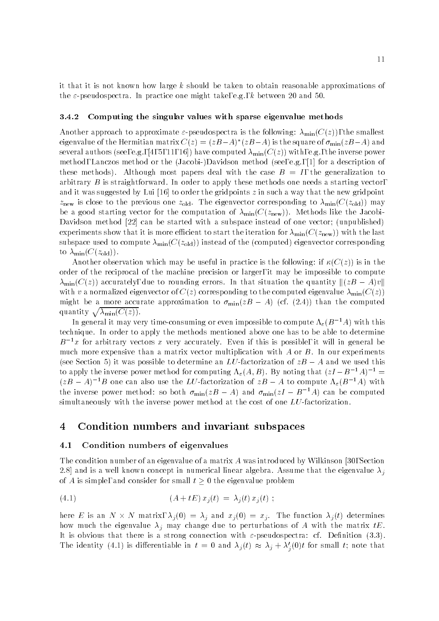it that it is not known how large  $k$  should be taken to obtain reasonable approximations of the  $\varepsilon$ -pseudospectra. In practice one might take, e.g., k between 20 and 50.

### 3.4.2 Computing the singular values with sparse eigenvalue methods

Another approach to approximate  $\varepsilon$ -pseudospectra is the following:  $\lambda_{\min}(C(z))$ , the smallest eigenvalue of the Hermitian matrix  $C(z) \equiv (zB-A)^\top (zB-A)$  is the square of  $\sigma_{\min}(zB-A)$  and several authors (see, e.g., [4, 5, 11, 16]) have computed  $\lambda_{\min}(C(z))$  with, e.g., the inverse power method, Lanczos method or the (Jacobi-)Davidson method (see, e.g., [1] for a description of these methods). Although most papers deal with the case  $B = I$ , the generalization to arbitrary  $B$  is straightforward. In order to apply these methods one needs a starting vector, and it was suggested by Lui [16] to order the gridpoints z in such a way that the new gridpoint  $z$ new is corresponding to the previous one  $\alpha$  one  $\alpha$  and  $\alpha$  minicipal matrix  $\alpha$  minicipal may be a minicipal matrix of  $\alpha$ be a good starting vector for the computation of  $\lambda_{\min}(C(z_{\text{new}}))$ . Methods like the Jacobi-Davidson method [22] can be started with a subspace instead of one vector; (unpublished) experiments show that it is more efficient to start the iteration for  $\lambda_{\min}(C(z_{\text{new}}))$  with the last subspace used to compute  $\lambda_{\min}(C(z_{\text{old}}))$  instead of the (computed) eigenvector corresponding to  $\lambda_{\min}(C(z_{\text{old}})).$ 

Another observation which may be useful in practice is the following: if  $\kappa(C(z))$  is in the order of the reciprocal of the machine precision or larger, it may be impossible to compute  $\lambda_{\min}(C(z))$  accurately, due to rounding errors. In that situation the quantity  $\|(zB - A)v\|$ with v a normalized eigenvector of  $C(z)$  corresponding to the computed eigenvalue  $\lambda_{\min}(C(z))$ might be a more accurate approximation to  $\sigma_{\min}(zB - A)$  (cf. (2.4)) than the computed quantity  $\sqrt{\lambda_{\min}(C(z))}$ .

In general it may very time-consuming or even impossible to compute  $\Lambda_{\epsilon}(B^{-1}A)$  with this technique. In order to apply the methods mentioned above one has to be able to determine  $B^{-1}x$  for arbitrary vectors x very accurately. Even if this is possible, it will in general be much more expensive than a matrix vector multiplication with  $A$  or  $B$ . In our experiments (see Section 5) it was possible to determine an LU-factorization of  $zB - A$  and we used this to apply the inverse power method for computing  $\Lambda_{\varepsilon}(A, B)$ . By noting that  $(zI - B^{-1}A)^{-1} =$  $(zB - A)^{-1}B$  one can also use the LU-factorization of  $zB - A$  to compute  $\Lambda_{\varepsilon}(B^{-1}A)$  with the inverse power method: so both  $\sigma_{\min}(zB - A)$  and  $\sigma_{\min}(zI - B^{-1}A)$  can be computed simultaneously with the inverse power method at the cost of one LU-factorization.

#### $\overline{\mathbf{4}}$ 4 Condition numbers and invariant subspaces

### 4.1 Condition numbers of eigenvalues

The condition number of an eigenvalue of a matrix A was introduced by Wilkinson [30, Section 2.8] and is a well known concept in numerical linear algebra. Assume that the eigenvalue  $\lambda_j$ of A is simple, and consider for small  $t \geq 0$  the eigenvalue problem

(4.1) 
$$
(A + tE) x_j(t) = \lambda_j(t) x_j(t) ;
$$

here E is an  $N \times N$  matrix,  $\lambda_j(0) = \lambda_j$  and  $x_j(0) = x_j$ . The function  $\lambda_j(t)$  determines how much the eigenvalue  $\lambda_j$  may change due to perturbations of A with the matrix tE. It is obvious that there is a strong connection with  $\varepsilon$ -pseudospectra: cf. Definition (3.3). The identity (4.1) is differentiable in  $t = 0$  and  $\lambda_j(t) \approx \lambda_j + \lambda'_j(0)t$  for small t; note that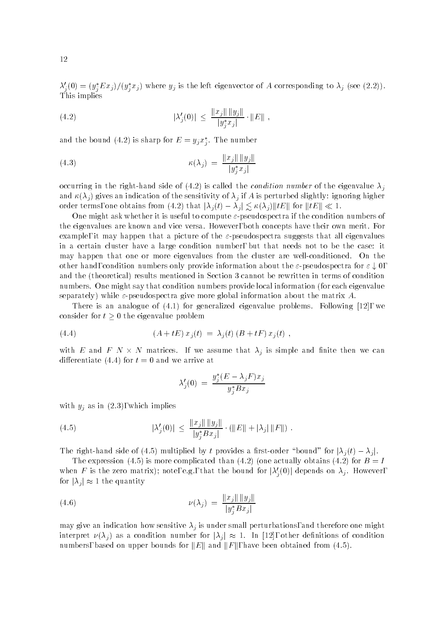$\lambda_j(0) \equiv (y_j E x_j)/(y_j x_j)$  where  $y_j$  is the left eigenvector of A corresponding to  $\lambda_j$  (see (2.2)). This implies

(4.2) 
$$
|\lambda'_j(0)| \le \frac{\|x_j\| \|y_j\|}{|y_j^* x_j|} \cdot \|E\|,
$$

and the bound (4.2) is sharp for  $E = y_i x_i$ . The number je poznata u predstavanje poznata u predstavanje poznata u predstavanje poznata u predstavanje poznata u preds

(4.3) 
$$
\kappa(\lambda_j) = \frac{\|x_j\| \|y_j\|}{|y_j^* x_j|}
$$

occurring in the right-hand side of (4.2) is called the *condition number* of the eigenvalue  $\lambda_j$ and  $\kappa(\lambda_j)$  gives an indication of the sensitivity of  $\lambda_j$  if A is perturbed slightly: ignoring higher order terms, one obtains from (4.2) that  $|\lambda_j(t) - \lambda_j| \lesssim \kappa(\lambda_j) ||tE||$  for  $||tE|| \ll 1$ .

One might ask whether it is useful to compute  $\varepsilon$ -pseudospectra if the condition numbers of the eigenvalues are known and vice versa. However, both concepts have their own merit. For example, it may happen that a picture of the  $\varepsilon$ -pseudospectra suggests that all eigenvalues in a certain cluster have a large condition number, but that needs not to be the case: it may happen that one or more eigenvalues from the cluster are well-conditioned. On the other hand, condition numbers only provide information about the  $\varepsilon$ -pseudospectra for  $\varepsilon \downarrow 0$ , and the (theoretical) results mentioned in Section 3 cannot be rewritten in terms of condition numbers. One might say that condition numbers provide local information (for each eigenvalue separately) while  $\varepsilon$ -pseudospectra give more global information about the matrix A.

There is an analogue of (4.1) for generalized eigenvalue problems. Following [12], we consider for  $t \geq 0$  the eigenvalue problem

(4.4) 
$$
(A + tE) x_j(t) = \lambda_j(t) (B + tF) x_j(t) ,
$$

with E and F N  $\times$  N matrices. If we assume that  $\lambda_j$  is simple and finite then we can differentiate (4.4) for  $t = 0$  and we arrive at

$$
\lambda_j'(0) = \frac{y_j^*(E - \lambda_j F)x_j}{y_j^* B x_j}
$$

with  $y_j$  as in  $(2.3)$ , which implies

(4.5) 
$$
|\lambda'_j(0)| \le \frac{||x_j|| \, ||y_j||}{|y_j^* B x_j|} \cdot (||E|| + |\lambda_j| \, ||F||) \; .
$$

The right-hand side of (4.5) multiplied by t provides a first-order "bound" for  $|\lambda_i(t) - \lambda_i|$ .

The expression (4.5) is more complicated than (4.2) (one actually obtains (4.2) for  $B = I$ when F is the zero matrix); note, e.g., that the bound for  $|\lambda_i'(0)|$  depends on  $\lambda_j$ . However, for  $|\lambda_i| \approx 1$  the quantity

(4.6) 
$$
\nu(\lambda_j) = \frac{\|x_j\| \|y_j\|}{|y_j^* B x_j|}
$$

may give an indication how sensitive  $\lambda_j$  is under small perturbations, and therefore one might interpret  $\nu(\lambda_i)$  as a condition number for  $|\lambda_i| \approx 1$ . In [12], other definitions of condition numbers, based on upper bounds for  $||E||$  and  $||F||$ , have been obtained from (4.5).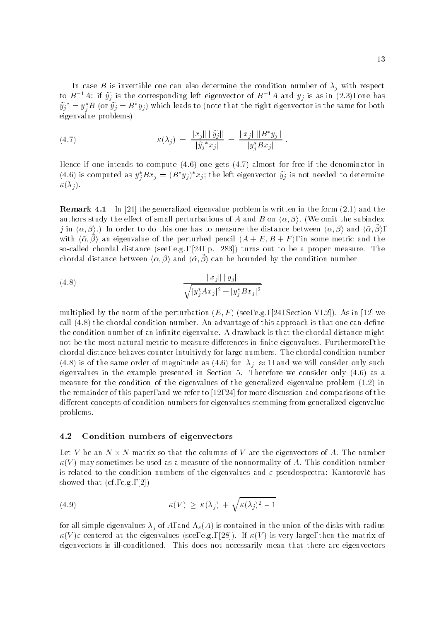In case B is invertible one can also determine the condition number of  $\lambda_j$  with respect to B  $^+A$ : if  $y_j$  is the corresponding left eigenvector of B  $^+A$  and  $y_j$  is as in (2.3), one has  $y_j\;=\bar{y}_j^*{\cal B}$  (or  $y_j={\cal B}^*y_j)$  which leads to (note that the right eigenvector is the same for both eigenvalue problems)

(4.7) 
$$
\kappa(\lambda_j) = \frac{\|x_j\| \|\tilde{y}_j\|}{|\tilde{y}_j^* x_j|} = \frac{\|x_j\| \|B^* y_j\|}{|y_j^* B x_j|}.
$$

Hence if one intends to compute (4.6) one gets (4.7) almost for free if the denominator in (4.6) is computed as  $y_j Bx_j = (B \ y_j) \ x_j;$  the left eigenvector  $y_j$  is not needed to determine  $\kappa(\lambda_i)$ .

Remark 4.1 In [24] the generalized eigenvalue problem is written in the form (2.1) and the authors study the effect of small perturbations of A and B on  $\langle \alpha, \beta \rangle$ . (We omit the subindex  $j$  in  $\langle\alpha,\beta\rangle$ .) In order to do this one has to measure the distance between  $\langle\alpha,\beta\rangle$  and  $\langle\tilde{\alpha},\beta\rangle,$ with  $\langle \tilde{\alpha}, \beta \rangle$  an eigenvalue of the perturbed pencil  $(A + E, B + F)$ , in some metric and the so-called chordal distance (see, e.g., [24, p. 283]) turns out to be a proper measure. The chordal distance between  $\langle \alpha, \beta \rangle$  and  $\langle \tilde{\alpha}, \beta \rangle$  can be bounded by the condition number

(4.8) 
$$
\frac{\|x_j\| \|y_j\|}{\sqrt{|y_j^* A x_j|^2 + |y_j^* B x_j|^2}}
$$

multiplied by the norm of the perturbation  $(E, F)$  (see, e.g., [24, Section VI.2]). As in [12] we call  $(4.8)$  the chordal condition number. An advantage of this approach is that one can define the condition number of an infinite eigenvalue. A drawback is that the chordal distance might not be the most natural metric to measure differences in finite eigenvalues. Furthermore, the chordal distance behaves counter-intuitively for large numbers. The chordal condition number (4.8) is of the same order of magnitude as (4.6) for  $|\lambda_i| \approx 1$ , and we will consider only such eigenvalues in the example presented in Section 5. Therefore we consider only (4.6) as a measure for the condition of the eigenvalues of the generalized eigenvalue problem (1.2) in the remainder of this paper, and we refer to [12, 24] for more discussion and comparisons of the different concepts of condition numbers for eigenvalues stemming from generalized eigenvalue problems.

### 4.2 Condition numbers of eigenvectors

Let V be an IV  $\times$  N matrix so that the columns of V are the eigenvectors of  $A.$  The number  $\kappa(V)$  may sometimes be used as a measure of the nonnormality of A. This condition number is related to the condition numbers of the eigenvalues and  $\varepsilon$ -pseudospectra: Kantorovic has showed that (cf., e.g., [2])

(4.9) 
$$
\kappa(V) \geq \kappa(\lambda_j) + \sqrt{\kappa(\lambda_j)^2 - 1}
$$

for all simple eigenvalues  $\lambda_j$  of A, and  $\Lambda_{\varepsilon}(A)$  is contained in the union of the disks with radius  $\kappa(V)\varepsilon$  centered at the eigenvalues (see, e.g., [28]). If  $\kappa(V)$  is very large, then the matrix of eigenvectors is ill-conditioned. This does not necessarily mean that there are eigenvectors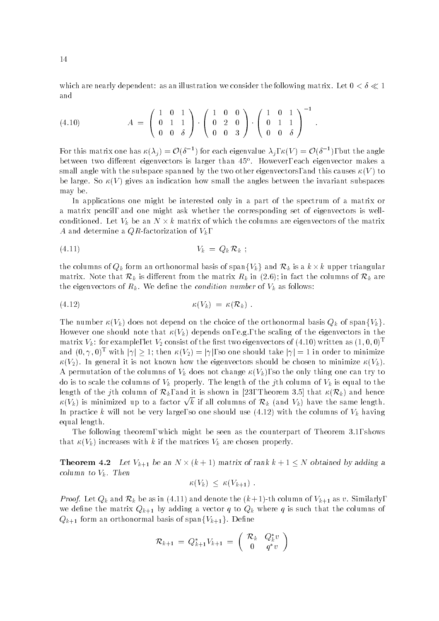which are nearly dependent: as an illustration we consider the following matrix. Let  $0 < \delta \ll 1$ and

$$
(4.10) \t\t A = \begin{pmatrix} 1 & 0 & 1 \\ 0 & 1 & 1 \\ 0 & 0 & \delta \end{pmatrix} \cdot \begin{pmatrix} 1 & 0 & 0 \\ 0 & 2 & 0 \\ 0 & 0 & 3 \end{pmatrix} \cdot \begin{pmatrix} 1 & 0 & 1 \\ 0 & 1 & 1 \\ 0 & 0 & \delta \end{pmatrix}^{-1}.
$$

For this matrix one has  $\kappa(\lambda_j) = \mathcal{O}(\delta^{-1})$  for each eigenvalue  $\lambda_j$ ,  $\kappa(V) = \mathcal{O}(\delta^{-1})$ , but the angle between two different eigenvectors is larger than 45°. However, each eigenvector makes a small angle with the subspace spanned by the two other eigenvectors, and this causes  $\kappa(V)$  to be large. So  $\kappa(V)$  gives an indication how small the angles between the invariant subspaces may be.

In applications one might be interested only in a part of the spectrum of a matrix or a matrix pencil, and one might ask whether the corresponding set of eigenvectors is wellconditioned. Let  $V_k$  be an  $N \times k$  matrix of which the columns are eigenvectors of the matrix A and determine a  $QR$ -factorization of  $V_k$ ,

$$
(4.11) \t\t V_k = Q_k R_k ;
$$

the columns of  $Q_k$  form an orthonormal basis of span $\{V_k\}$  and  $\mathcal{R}_k$  is a  $k\times k$  upper triangular matrix. Note that  $\mathcal{R}_k$  is different from the matrix  $R_k$  in (2.6); in fact the columns of  $\mathcal{R}_k$  are the eigenvectors of  $R_k$ . We define the *condition number* of  $V_k$  as follows:

$$
\kappa(V_k) = \kappa(\mathcal{R}_k) .
$$

The number  $\kappa(V_k)$  does not depend on the choice of the orthonormal basis  $Q_k$  of span $\{V_k\}$ . However one should note that  $\kappa(V_k)$  depends on, e.g., the scaling of the eigenvectors in the matrix  $V_k$ : for example, let  $V_2$  consist of the first two eigenvectors of (4.10) written as  $(1,0,0)^T$ and  $(0, \gamma, 0)^T$  with  $|\gamma| > 1$ ; then  $\kappa(V_2) = |\gamma|$ , so one should take  $|\gamma| = 1$  in order to minimize  $\kappa(V_2)$ . In general it is not known how the eigenvectors should be chosen to minimize  $\kappa(V_k)$ . A permutation of the columns of  $V_k$  does not change  $\kappa(V_k)$ , so the only thing one can try to do is to scale the columns of  $V_k$  properly. The length of the jth column of  $V_k$  is equal to the length of the jth column of  $\mathcal{R}_k$ , and it is shown in [23, Theorem 3.5] that  $\kappa(\mathcal{R}_k)$  and hence  $\kappa(V_k)$  is minimized up to a factor  $\sqrt{k}$  if all columns of  $\mathcal{R}_k$  (and  $V_k$ ) have the same length. In practice k will not be very large, so one should use  $(4.12)$  with the columns of  $V_k$  having equal length.

The following theorem, which might be seen as the counterpart of Theorem 3.1, shows that  $\kappa(V_k)$  increases with k if the matrices  $V_k$  are chosen properly.

**Theorem 4.2** Let  $V_{k+1}$  be an  $N \times (k+1)$  matrix of rank  $k+1 \leq N$  obtained by adding a column to  $v_k$ . Then

$$
\kappa(V_k) \leq \kappa(V_{k+1}) \ .
$$

*Proof.* Let  $Q_k$  and  $\mathcal{R}_k$  be as in (4.11) and denote the  $(k+1)$ -th column of  $V_{k+1}$  as v. Similarly, we define the matrix  $Q_{k+1}$  by adding a vector q to  $Q_k$  where q is such that the columns of  $Q_{k+1}$  form an orthonormal basis of span $\{V_{k+1}\}\$ . Define

$$
\mathcal{R}_{k+1} = Q_{k+1}^* V_{k+1} = \begin{pmatrix} \mathcal{R}_k & Q_k^* v \\ 0 & q^* v \end{pmatrix}
$$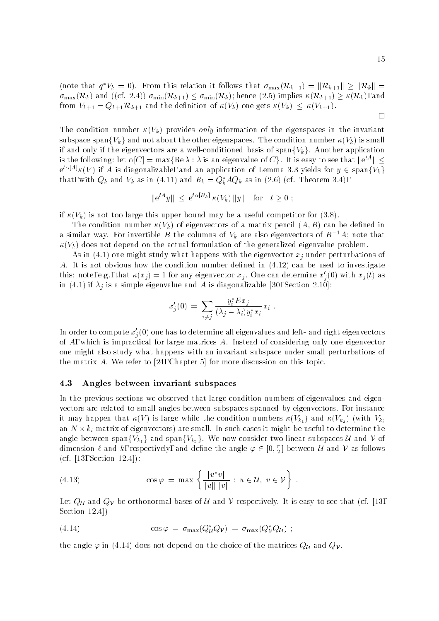(note that  $q^*V_k = 0$ ). From this relation it follows that  $\sigma_{\max}(\mathcal{R}_{k+1}) = ||\mathcal{R}_{k+1}|| \geq ||\mathcal{R}_k|| =$  $\sigma_{\max}(\mathcal{R}_k)$  and ((cf. 2.4))  $\sigma_{\min}(\mathcal{R}_{k+1}) \leq \sigma_{\min}(\mathcal{R}_k)$ ; hence (2.5) implies  $\kappa(\mathcal{R}_{k+1}) \geq \kappa(\mathcal{R}_k)$ , and from  $V_{k+1} = Q_{k+1} \mathcal{R}_{k+1}$  and the definition of  $\kappa(V_k)$  one gets  $\kappa(V_k) \leq \kappa(V_{k+1})$ .

The condition number  $\kappa(V_k)$  provides *only* information of the eigenspaces in the invariant subspace span ${V_k}$  and not about the other eigenspaces. The condition number  $\kappa(V_k)$  is small if and only if the eigenvectors are a well-conditioned basis of span $\{V_k\}$ . Another application is the following: let  $\alpha[C] = \max\{\mathop{\mathrm{Re}} \lambda : \lambda \text{ is an eigenvalue of } C\}$ . It is easy to see that  $\| \mathrm{e}^{tA}\| \leq$  $e^{t\alpha[A]}\kappa(V)$  if A is diagonalizable, and an application of Lemma 3.3 yields for  $y \in span\{V_k\}$ that, with  $Q_k$  and  $V_k$  as in (4.11) and  $R_k = Q_k A Q_k$  as in (2.6) (cf. Theorem 3.4),

$$
\|e^{tA}y\| \leq e^{t\alpha[R_k]} \kappa(V_k) \|y\| \quad \text{for} \quad t \geq 0 ;
$$

if  $\kappa(V_k)$  is not too large this upper bound may be a useful competitor for (3.8).

The condition number  $\kappa(V_k)$  of eigenvectors of a matrix pencil  $(A, B)$  can be defined in a similar way. For invertible B the columns of  $V_k$  are also eigenvectors of  $B^{-1}A$ ; note that  $\kappa(V_k)$  does not depend on the actual formulation of the generalized eigenvalue problem.

As in (4.1) one might study what happens with the eigenvector  $x_i$  under perturbations of A. It is not obvious how the condition number defined in  $(4.12)$  can be used to investigate this: note, e.g., that  $\kappa(x_i) = 1$  for any eigenvector  $x_i$ . One can determine  $x_i'(0)$  with  $x_i(t)$  as in (4.1) if  $\lambda_j$  is a simple eigenvalue and A is diagonalizable [30, Section 2.10]:

$$
x'_{j}(0) = \sum_{i \neq j} \frac{y_{i}^{*} E x_{j}}{(\lambda_{j} - \lambda_{i}) y_{i}^{*} x_{i}} x_{i}.
$$

In order to compute  $x_i'(0)$  one has to determine all eigenvalues and left- and right eigenvectors of A, which is impractical for large matrices A. Instead of considering only one eigenvector one might also study what happens with an invariant subspace under small perturbations of the matrix A. We refer to [24, Chapter 5] for more discussion on this topic.

### 4.3 Angles between invariant subspaces

In the previous sections we observed that large condition numbers of eigenvalues and eigenvectors are related to small angles between subspaces spanned by eigenvectors. For instance it may happen that  $\kappa(V)$  is large while the condition numbers  $\kappa(V_{k_1})$  and  $\kappa(V_{k_2})$  (with  $V_{k_i}$ an  $N \times k_i$  matrix of eigenvectors) are small. In such cases it might be useful to determine the angle between span $\{V_{k_1}\}$  and span $\{V_{k_2}\}.$  We now consider two linear subspaces  $\mathcal U$  and  $\mathcal V$  of dimension  $\ell$  and  $k$ , respectively, and define the angle  $\varphi \in [0, \frac{\pi}{2}]$  between  $\mathcal U$  and  $\mathcal V$  as follows (cf. [13, Section 12.4]):

(4.13) 
$$
\cos \varphi = \max \left\{ \frac{|u^*v|}{\|u\| \|v\|} : u \in \mathcal{U}, v \in \mathcal{V} \right\} .
$$

Let  $Q_U$  and  $Q_V$  be orthonormal bases of  $U$  and  $V$  respectively. It is easy to see that (cf. [13, Section 12.4])

(4.14) 
$$
\cos \varphi = \sigma_{\max}(Q_{\mathcal{U}}^* Q_{\mathcal{V}}) = \sigma_{\max}(Q_{\mathcal{V}}^* Q_{\mathcal{U}});
$$

the angle  $\varphi$  in (4.14) does not depend on the choice of the matrices  $Q_{\mathcal{U}}$  and  $Q_{\mathcal{V}}$ .

 $\Box$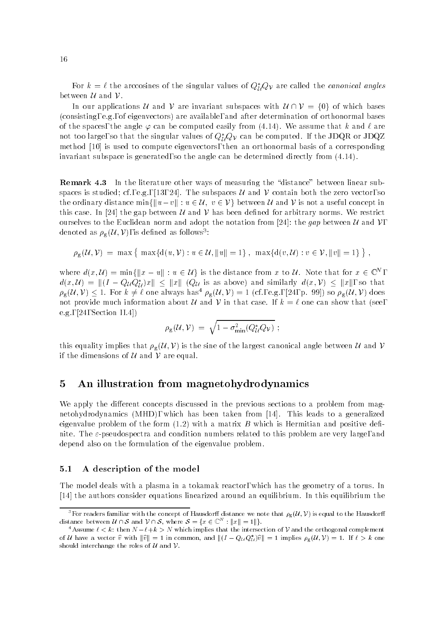For  $k = \ell$  the arccosines of the singular values of  $Q_{\mathcal{U}}^* Q_{\mathcal{V}}$  are called the *canonical angles* between  $\mathcal U$  and  $\mathcal V$ .

In our applications U and V are invariant subspaces with  $U\cap V = \{0\}$  of which bases (consisting, e.g., of eigenvectors) are available, and after determination of orthonormal bases of the spaces, the angle  $\varphi$  can be computed easily from (4.14). We assume that k and  $\ell$  are not too large, so that the singular values of  $Q^*_{\mathcal{U}}Q_{\mathcal{V}}$  can be computed. If the JDQR or JDQZ method [10] is used to compute eigenvectors, then an orthonormal basis of a corresponding invariant subspace is generated, so the angle can be determined directly from (4.14).

Remark 4.3 In the literature other ways of measuring the "distance" between linear subspaces is studied; cf., e.g., [13, 24]. The subspaces  $\mathcal U$  and  $\mathcal V$  contain both the zero vector, so the ordinary distance min $\{||u-v|| : u \in \mathcal{U}, v \in \mathcal{V}\}\)$  between  $\mathcal{U}$  and  $\mathcal{V}$  is not a useful concept in this case. In [24] the gap between U and V has been defined for arbitrary norms. We restrict ourselves to the Euclidean norm and adopt the notation from [24]: the gap between U and V, denoted as  $\rho_{\mathbf{g}}(\mathcal{U},\mathcal{V})$ , is defined as follows<sup>3</sup>:

$$
\rho_{\mathbf{g}}(\mathcal{U}, \mathcal{V}) = \max \{ \max \{ d(u, \mathcal{V}) : u \in \mathcal{U}, ||u|| = 1 \}, \ \max \{ d(v, \mathcal{U}) : v \in \mathcal{V}, ||v|| = 1 \} \},
$$

where  $d(x, \mathcal{U}) = \min\{\|x - u\| : u \in \mathcal{U}\}\$ is the distance from x to  $\mathcal{U}$ . Note that for  $x \in \mathbb{C}^N$  $d(x, \mathcal{U}) = ||(I - Q_{\mathcal{U}}Q_{\mathcal{U}}^*)x|| \leq ||x|| (Q_{\mathcal{U}} \text{ is as above}) \text{ and similarly } d(x, \mathcal{V}) \leq ||x||, \text{ so that }$  $\rho_{\rm g}(\mathcal{U}, \mathcal{V}) \leq 1$ . For  $k \neq \ell$  one always has<sup>4</sup>  $\rho_{\rm g}(\mathcal{U}, \mathcal{V}) = 1$  (cf., e.g., [24, p. 99]) so  $\rho_{\rm g}(\mathcal{U}, \mathcal{V})$  does not provide much information about  $U$  and  $V$  in that case. If  $k = \ell$  one can show that (see e.g., [24, Section II.4])

$$
\rho_{\rm g}({\mathcal U}, {\mathcal V}) \;=\; \sqrt{1-\sigma_{\rm min}^2(Q^*_{\mathcal U} Q_{\mathcal V})} \ ;
$$

this equality implies that  $\rho_{g}(\mathcal{U}, \mathcal{V})$  is the sine of the largest canonical angle between  $\mathcal{U}$  and  $\mathcal{V}$ if the dimensions of  $U$  and  $V$  are equal.

#### 5 An illustration from magnetohydrodynamics

We apply the different concepts discussed in the previous sections to a problem from magnetohydrodynamics (MHD), which has been taken from [14]. This leads to a generalized eigenvalue problem of the form  $(1.2)$  with a matrix B which is Hermitian and positive definite. The  $\varepsilon$ -pseudospectra and condition numbers related to this problem are very large, and depend also on the formulation of the eigenvalue problem.

### 5.1 A description of the model

The model deals with a plasma in a tokamak reactor, which has the geometry of a torus. In [14] the authors consider equations linearized around an equilibrium. In this equilibrium the

<sup>&</sup>lt;sup>3</sup> For readers familiar with the concept of Hausdorff distance we note that  $\rho_g(U,V)$  is equal to the Hausdorff distance between  $\mathcal{U} \cap \mathcal{S}$  and  $\mathcal{V} \cap \mathcal{S}$ , where  $\mathcal{S} = \{x \in \mathbb{C}^N \, : \|x\| = 1\|\}.$ 

<sup>&</sup>lt;sup>4</sup>Assume  $\ell < k$ : then  $N - \ell + k > N$  which implies that the intersection of V and the orthogonal complement of U have a vector  $\hat{v}$  with  $\|\hat{v}\| = 1$  in common, and  $\|(I - Q_{\mathcal{U}} Q_{\mathcal{U}}^*)\hat{v}\| = 1$  implies  $\rho_{\mathcal{S}}(\mathcal{U}, \mathcal{V}) = 1$ . If  $\ell > k$  one should interchange the roles of  $U$  and  $V$ .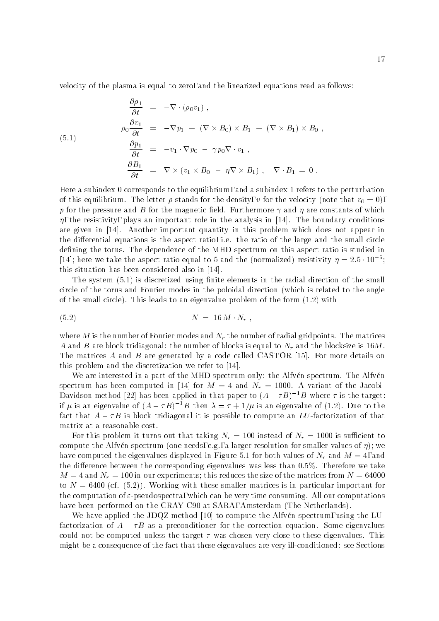velocity of the plasma is equal to zero, and the linearized equations read as follows:

$$
\frac{\partial \rho_1}{\partial t} = -\nabla \cdot (\rho_0 v_1),
$$
\n
$$
\rho_0 \frac{\partial v_1}{\partial t} = -\nabla p_1 + (\nabla \times B_0) \times B_1 + (\nabla \times B_1) \times B_0,
$$
\n
$$
\frac{\partial p_1}{\partial t} = -v_1 \cdot \nabla p_0 - \gamma p_0 \nabla \cdot v_1,
$$
\n
$$
\frac{\partial B_1}{\partial t} = \nabla \times (v_1 \times B_0 - \eta \nabla \times B_1), \nabla \cdot B_1 = 0.
$$

Here a subindex 0 corresponds to the equilibrium, and a subindex 1 refers to the perturbation of this equilibrium. The letter  $\mu$  clusted for the density, v for the velocity (note that volt), we have p for the pressure and B for the magnetic field. Furthermore  $\gamma$  and  $\eta$  are constants of which  $\eta$ , the resistivity, plays an important role in the analysis in [14]. The boundary conditions are given in [14]. Another important quantity in this problem which does not appear in the differential equations is the aspect ratio, i.e. the ratio of the large and the small circle defining the torus. The dependence of the MHD spectrum on this aspect ratio is studied in [14]; here we take the aspect ratio equal to 5 and the (normalized) resistivity  $\eta =$  2.5  $\pm$  10  $^{+}$ ; this situation has been considered also in [14].

The system (5.1) is discretized using finite elements in the radial direction of the small circle of the torus and Fourier modes in the poloidal direction (which is related to the angle of the small circle). This leads to an eigenvalue problem of the form (1.2) with

$$
(5.2) \t\t N = 16 M \cdot N_r ,
$$

where M is the number of Fourier modes and  $N_r$  the number of radial gridpoints. The matrices A and B are block tridiagonal: the number of blocks is equal to  $N_r$  and the blocksize is 16M. The matrices A and B are generated by a code called CASTOR  $[15]$ . For more details on this problem and the discretization we refer to [14].

We are interested in a part of the MHD spectrum only: the Alfven spectrum. The Alfven spectrum has been computed in [14] for  $M = 4$  and  $N_r = 1000$ . A variant of the Jacobi-Davidson method [22] has been applied in that paper to  $(A - \tau B)^{-1}B$  where  $\tau$  is the target: if  $\mu$  is an eigenvalue of  $(A - \tau B)^{-1}B$  then  $\lambda = \tau + 1/\mu$  is an eigenvalue of (1.2). Due to the fact that  $A - \tau B$  is block tridiagonal it is possible to compute an LU-factorization of that matrix at a reasonable cost.

For this problem it turns out that taking  $N_r = 100$  instead of  $N_r = 1000$  is sufficient to compute the Alfvén spectrum (one needs, e.g., a larger resolution for smaller values of  $\eta$ ); we have computed the eigenvalues displayed in Figure 5.1 for both values of  $N_r$  and  $M = 4$ , and the difference between the corresponding eigenvalues was less than  $0.5\%$ . Therefore we take  $M = 4$  and  $N_r = 100$  in our experiments; this reduces the size of the matrices from  $N = 64000$ to  $N = 6400$  (cf.  $(5.2)$ ). Working with these smaller matrices is in particular important for the computation of  $\varepsilon$ -pseudospectra, which can be very time consuming. All our computations have been performed on the CRAY C90 at SARA, Amsterdam (The Netherlands).

We have applied the JDQZ method [10] to compute the Alfven spectrum, using the LUfactorization of  $A - \tau B$  as a preconditioner for the correction equation. Some eigenvalues could not be computed unless the target  $\tau$  was chosen very close to these eigenvalues. This might be a consequence of the fact that these eigenvalues are very ill-conditioned: see Sections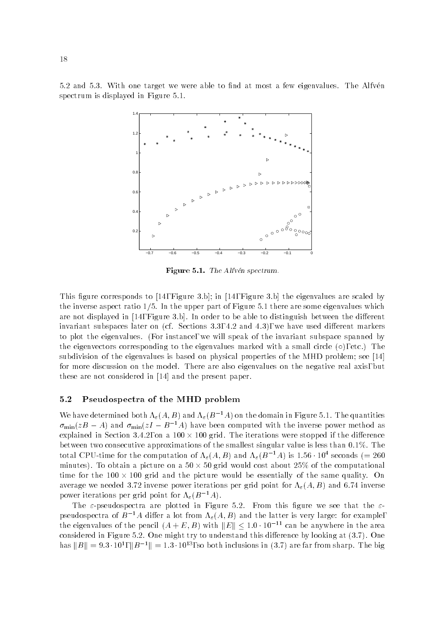5.2 and 5.3. With one target we were able to find at most a few eigenvalues. The Alfven spectrum is displayed in Figure 5.1.



Figure 5.1. The Alfvén spectrum.

This figure corresponds to  $[14,$  Figure 3.b]; in  $[14,$  Figure 3.b] the eigenvalues are scaled by the inverse aspect ratio  $1/5$ . In the upper part of Figure 5.1 there are some eigenvalues which are not displayed in  $[14,$  Figure 3.b.]. In order to be able to distinguish between the different invariant subspaces later on (cf. Sections  $3.3, 4.2$  and  $4.3$ ), we have used different markers to plot the eigenvalues. (For instance, we will speak of the invariant subspace spanned by the eigenvectors corresponding to the eigenvalues marked with a small circle  $(\circ)$ , etc.) The subdivision of the eigenvalues is based on physical properties of the MHD problem; see [14] for more discussion on the model. There are also eigenvalues on the negative real axis, but these are not considered in [14] and the present paper.

### 5.2 Pseudospectra of the MHD problem

We have determined both  $\Lambda_{\varepsilon}(A, B)$  and  $\Lambda_{\varepsilon}(B^{-1}A)$  on the domain in Figure 5.1. The quantities  $\sigma_{\min}(zB - A)$  and  $\sigma_{\min}(zI - B^{-1}A)$  have been computed with the inverse power method as explained in Section 3.4.2, on a  $100 \times 100$  grid. The iterations were stopped if the difference between two consecutive approximations of the smallest singular value is less than  $0.1\%$ . The total CPU-time for the computation of  $\Lambda_{\varepsilon}(A, B)$  and  $\Lambda_{\varepsilon}(B^{-+}A)$  is 1.56  $\cdot$  104 seconds (= 260  $\cdot$ minutes). To obtain a picture on a 50  $\times$  50 grid would cost about 25% of the computational time for the  $100\times 100$  grid and the picture would be essentially of the same quality. On average we needed 3.72 inverse power iterations per grid point for  $\Lambda_{\varepsilon}(A, B)$  and 6.74 inverse power iterations per grid point for  $\Lambda_{\varepsilon}(B^{-1}A)$ .

The  $\varepsilon$ -pseudospectra are plotted in Figure 5.2. From this figure we see that the  $\varepsilon$ pseudospectra of  $B^{-1}A$  differ a lot from  $\Lambda_{\varepsilon}(A, B)$  and the latter is very large: for example, the eigenvalues of the pencil  $(A + E, B)$  with  $||E|| \le 1.0 \cdot 10^{-11}$  can be anywhere in the area considered in Figure 5.2. One might try to understand this difference by looking at  $(3.7)$ . One has  $||B|| = 9.3 \cdot 10^1$ ,  $||B^{-1}|| = 1.3 \cdot 10^{13}$ , so both inclusions in (3.7) are far from sharp. The big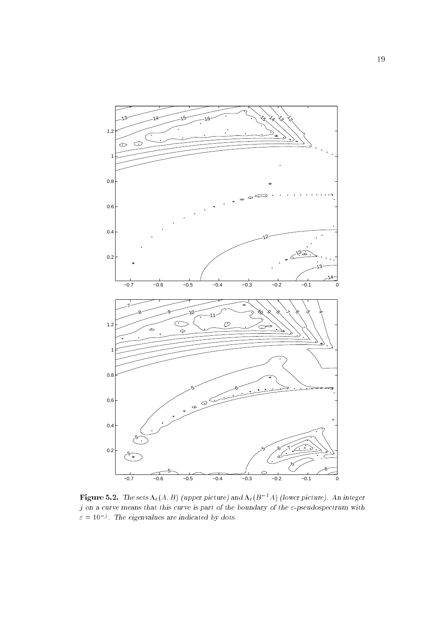

Figure 5.2. The sets  $\Lambda_{\varepsilon}(A, B)$  (upper picture) and  $\Lambda_{\varepsilon}(B^{-1}A)$  (lower picture). An integer  $j$  on a curve means that this curve is part of the boundary of the  $\varepsilon$ -pseudospectrum with  $\varepsilon = 10^{-3}$ . The eigenvalues are indicated by dots.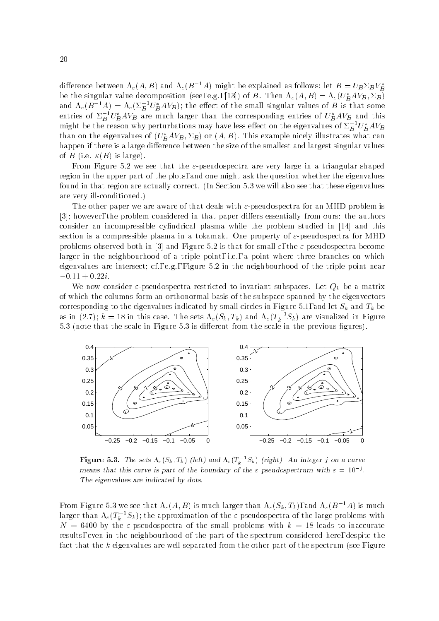difference between  $\Lambda_{\varepsilon}(A, B)$  and  $\Lambda_{\varepsilon}(B^{-1}A)$  might be explained as follows: let  $B = U_B \Sigma_B V_B^*$ be the singular value decomposition (see, e.g., [13]) of B. Then  $\Lambda_{\varepsilon}(A, B) = \Lambda_{\varepsilon}(U_B^*AV_B, \Sigma_B)$ and  $\Lambda_{\varepsilon}(B^{-1}A)=\Lambda_{\varepsilon}(\Sigma_{B}^{-1}U_{B}^{-}AVB);$  the effect of the small singular values of B is that some entries of  $\Sigma_B$   $U_B^+AV_B$  are much larger than the corresponding entries of  $U_B^+AV_B$  and this might be the reason why perturbations may have less effect on the eigenvalues of  $\Sigma_B^{-} U_B^{~} A V_B$ than on the eigenvalues of  $(U_B^*AV_B, \Sigma_B)$  or  $(A, B)$ . This example nicely illustrates what can happen if there is a large difference between the size of the smallest and largest singular values of B (i.e.  $\kappa(B)$  is large).

From Figure 5.2 we see that the  $\varepsilon$ -pseudospectra are very large in a triangular shaped region in the upper part of the plots, and one might ask the question whether the eigenvalues found in that region are actually correct. (In Section 5.3 we will also see that these eigenvalues are very ill-conditioned.)

The other paper we are aware of that deals with  $\varepsilon$ -pseudospectra for an MHD problem is [3]; however, the problem considered in that paper differs essentially from ours: the authors consider an incompressible cylindrical plasma while the problem studied in [14] and this section is a compressible plasma in a tokamak. One property of  $\varepsilon$ -pseudospectra for MHD problems observed both in [3] and Figure 5.2 is that for small  $\varepsilon$ , the  $\varepsilon$ -pseudospectra become larger in the neighbourhood of a triple point, i.e., a point where three branches on which eigenvalues are intersect; cf., e.g., Figure 5.2 in the neighbourhood of the triple point near  $-0.11 + 0.22i$ .

We now consider  $\varepsilon$ -pseudospectra restricted to invariant subspaces. Let  $Q_k$  be a matrix of which the columns form an orthonormal basis of the subspace spanned by the eigenvectors corresponding to the eigenvalues indicated by small circles in Figure 5.1, and let  $S_k$  and  $T_k$  be as in (2.7);  $k = 18$  in this case. The sets  $\Lambda_\varepsilon(S_k, T_k)$  and  $\Lambda_\varepsilon(T_k \restriction S_k)$  are visualized in Figure 5.3 (note that the scale in Figure 5.3 is different from the scale in the previous figures).



**Figure 5.3.** The sets  $\Lambda_{\varepsilon}(S_k, T_k)$  (left) and  $\Lambda_{\varepsilon}(T_k \rightharpoonup S_k)$  (right). An integer j on a curve means that this curve is part of the boundary of the *ε*-pseudospectrum with  $\varepsilon = 10^{-3}$ . The eigenvalues are indicated by dots.

From Figure 5.3 we see that  $\Lambda_{\varepsilon}(A, B)$  is much larger than  $\Lambda_{\varepsilon}(S_k, T_k)$ , and  $\Lambda_{\varepsilon}(B^{-1}A)$  is much larger than  $\Lambda_\varepsilon(I_k\restriction S_k);$  the approximation of the  $\varepsilon$ -pseudospectra of the large problems with  $N = 6400$  by the  $\varepsilon$ -pseudospectra of the small problems with  $k = 18$  leads to inaccurate results, even in the neighbourhood of the part of the spectrum considered here, despite the fact that the  $k$  eigenvalues are well separated from the other part of the spectrum (see Figure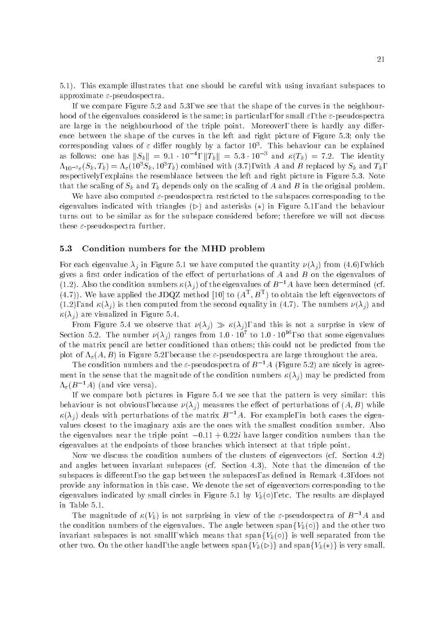5.1). This example illustrates that one should be careful with using invariant subspaces to approximate  $\varepsilon$ -pseudospectra.

If we compare Figure 5.2 and 5.3, we see that the shape of the curves in the neighbourhood of the eigenvalues considered is the same; in particular, for small  $\varepsilon$ , the  $\varepsilon$ -pseudospectra are large in the neighbourhood of the triple point. Moreover, there is hardly any difference between the shape of the curves in the left and right picture of Figure 5.3; only the corresponding values of  $\varepsilon$  differ roughly by a factor 10<sup>3</sup>. This behaviour can be explained as follows: one has  $||S_k|| = 9.1 \cdot 10^{-4}$ ,  $||T_k|| = 5.3 \cdot 10^{-3}$  and  $\kappa(T_k) = 7.2$ . The identity  $\Lambda_{10^{-3}\varepsilon}(S_k, T_k)=\Lambda_{\varepsilon}(10^3S_k, 10^3T_k)$  combined with (3.7), with A and B replaced by  $S_k$  and  $T_k$ , respectively, explains the resemblance between the left and right picture in Figure 5.3. Note that the scaling of  $S_k$  and  $T_k$  depends only on the scaling of A and B in the original problem.

We have also computed  $\varepsilon$ -pseudospectra restricted to the subspaces corresponding to the eigenvalues indicated with triangles  $(\triangleright)$  and asterisks (\*) in Figure 5.1, and the behaviour turns out to be similar as for the subspace considered before; therefore we will not discuss these  $\varepsilon$ -pseudospectra further.

### 5.3 Condition numbers for the MHD problem

For each eigenvalue  $\lambda_i$  in Figure 5.1 we have computed the quantity  $\nu(\lambda_i)$  from (4.6), which gives a first order indication of the effect of perturbations of  $A$  and  $B$  on the eigenvalues of (1.2). Also the condition numbers  $\kappa(\lambda_i)$  of the eigenvalues of  $B^{-1}A$  have been determined (cf.  $(4.7)$ ). We have applied the JDQZ method  $[10]$  to  $(A^+,B^+)$  to obtain the left eigenvectors of  $(1.2)$ , and  $\kappa(\lambda_i)$  is then computed from the second equality in (4.7). The numbers  $\nu(\lambda_i)$  and  $\kappa(\lambda_i)$  are visualized in Figure 5.4.

From Figure 5.4 we observe that  $\nu(\lambda_j) \gg \kappa(\lambda_j)$ , and this is not a surprise in view of Section 5.2. The number  $\nu(\lambda_i)$  ranges from 1.0 · 10° to 1.0 · 10° , so that some eigenvalues of the matrix pencil are better conditioned than others; this could not be predicted from the plot of  $\Lambda_{\varepsilon}(A, B)$  in Figure 5.2, because the  $\varepsilon$ -pseudospectra are large throughout the area.

The condition numbers and the  $\varepsilon$ -pseudospectra of  $B^{-1}A$  (Figure 5.2) are nicely in agreement in the sense that the magnitude of the condition numbers  $\kappa(\lambda_i)$  may be predicted from  $\Lambda_{\varepsilon}(B^{-1}A)$  (and vice versa).

If we compare both pictures in Figure 5.4 we see that the pattern is very similar: this behaviour is not obvious, because  $\nu(\lambda_i)$  measures the effect of perturbations of  $(A, B)$  while  $\kappa(\lambda_i)$  deals with perturbations of the matrix  $B^{-1}A$ . For example, in both cases the eigenvalues closest to the imaginary axis are the ones with the smallest condition number. Also the eigenvalues near the triple point  $-0.11 + 0.22i$  have larger condition numbers than the eigenvalues at the endpoints of those branches which intersect at that triple point.

Now we discuss the condition numbers of the clusters of eigenvectors (cf. Section 4.2) and angles between invariant subspaces (cf. Section 4.3). Note that the dimension of the subspaces is different, so the gap between the subspaces, as defined in Remark  $4.3$ , does not provide any information in this case. We denote the set of eigenvectors corresponding to the eigenvalues indicated by small circles in Figure 5.1 by  $V_k(\circ)$ , etc. The results are displayed in Table 5.1.

The magnitude of  $\kappa(V_k)$  is not surprising in view of the  $\varepsilon$ -pseudospectra of  $B^{-1}A$  and the condition numbers of the eigenvalues. The angle between span ${V_k(\circ)}$  and the other two invariant subspaces is not small, which means that span $\{V_k(\circ)\}\$ is well separated from the other two. On the other hand, the angle between span $\{V_k(\triangleright)\}\$  and span $\{V_k(*)\}\$ is very small.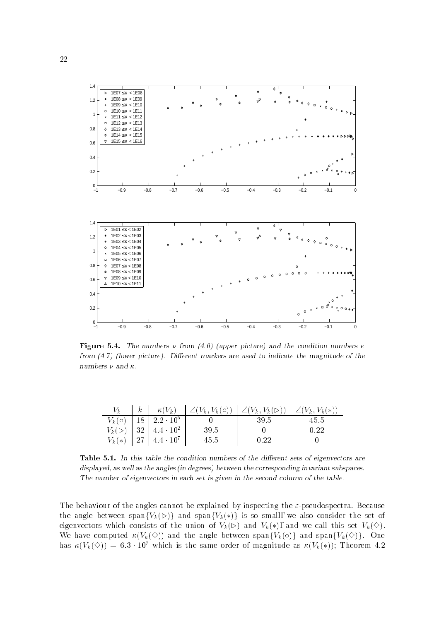

Figure 5.4. The numbers  $\nu$  from (4.6) (upper picture) and the condition numbers  $\kappa$ from  $(4.7)$  (lower picture). Different markers are used to indicate the magnitude of the numbers  $\nu$  and  $\kappa$ .

|  | $V_k(\circ)$   18   2.2 $\cdot$ 10 <sup>5</sup>          |       | -39.5 | 45.5 |
|--|----------------------------------------------------------|-------|-------|------|
|  | $V_k(\triangleright)$   32   4.4 $\cdot$ 10 <sup>2</sup> | -39.5 |       | 0.22 |
|  | $V_k(*)$   27   4.4 $\cdot$ 10 <sup>7</sup>              | 45.5  | 0.22  |      |

Table 5.1. In this table the condition numbers of the different sets of eigenvectors are displayed, as well as the angles (in degrees) between the corresponding invariant subspaces. The number of eigenvectors in each set is given in the second column of the table.

The behaviour of the angles cannot be explained by inspecting the  $\varepsilon$ -pseudospectra. Because the angle between span $\{V_k(\triangleright)\}\$  and span $\{V_k(*)\}\$ is so small, we also consider the set of eigenvectors which consists of the union of  $V_k(\triangleright)$  and  $V_k(*)$ , and we call this set  $V_k(\diamondsuit)$ . We have computed  $\kappa(V_k(\diamond))$  and the angle between span $\{V_k(\diamond)\}\$  and span $\{V_k(\diamond)\}\$ . One has  $\kappa(V_k(\diamond)) = 6.3 \cdot 10^7$  which is the same order of magnitude as  $\kappa(V_k(*))$ ; Theorem 4.2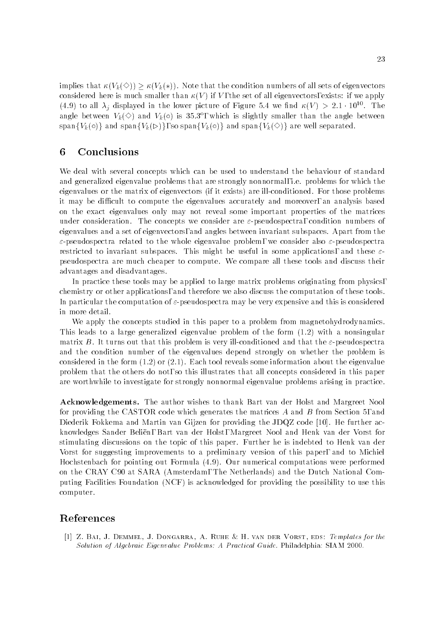implies that  $\kappa(V_k(\diamond)) > \kappa(V_k(*)$ . Note that the condition numbers of all sets of eigenvectors considered here is much smaller than  $\kappa(V)$  if V, the set of all eigenvectors, exists: if we apply (4.9) to all  $\lambda_i$  displayed in the lower picture of Figure 5.4 we find  $\kappa(V) > 2.1 \cdot 10^{10}$ . The angle between  $V_k(\heartsuit)$  and  $V_k(\circ)$  is 35.3°, which is slightly smaller than the angle between span $\{V_k(\circ)\}\$  and span $\{V_k(\circ)\}\$ , so span $\{V_k(\circ)\}\$  and span $\{V_k(\circ)\}\$  are well separated.

# 6 Conclusions

We deal with several concepts which can be used to understand the behaviour of standard and generalized eigenvalue problems that are strongly nonnormal, i.e. problems for which the eigenvalues or the matrix of eigenvectors (if it exists) are ill-conditioned. For those problems it may be difficult to compute the eigenvalues accurately and moreover, an analysis based on the exact eigenvalues only may not reveal some important properties of the matrices under consideration. The concepts we consider are  $\varepsilon$ -pseudospectra, condition numbers of eigenvalues and a set of eigenvectors, and angles between invariant subspaces. Apart from the  $\varepsilon$ -pseudospectra related to the whole eigenvalue problem, we consider also  $\varepsilon$ -pseudospectra restricted to invariant subspaces. This might be useful in some applications, and these  $\varepsilon$ pseudospectra are much cheaper to compute. We compare all these tools and discuss their advantages and disadvantages.

In practice these tools may be applied to large matrix problems originating from physics, chemistry or other applications, and therefore we also discuss the computation of these tools. In particular the computation of  $\varepsilon$ -pseudospectra may be very expensive and this is considered in more detail.

We apply the concepts studied in this paper to a problem from magnetohydrodynamics. This leads to a large generalized eigenvalue problem of the form (1.2) with a nonsingular matrix B. It turns out that this problem is very ill-conditioned and that the  $\varepsilon$ -pseudospectra and the condition number of the eigenvalues depend strongly on whether the problem is considered in the form  $(1.2)$  or  $(2.1)$ . Each tool reveals some information about the eigenvalue problem that the others do not, so this illustrates that all concepts considered in this paper are worthwhile to investigate for strongly nonnormal eigenvalue problems arising in practice.

Acknowledgements. The author wishes to thank Bart van der Holst and Margreet Nool for providing the CASTOR code which generates the matrices A and B from Section 5, and Diederik Fokkema and Martin van Gijzen for providing the JDQZ code [10]. He further acknowledges Sander Belien, Bart van der Holst, Margreet Nool and Henk van der Vorst for stimulating discussions on the topic of this paper. Further he is indebted to Henk van der Vorst for suggesting improvements to a preliminary version of this paper, and to Michiel Hochstenbach for pointing out Formula (4.9). Our numerical computations were performed on the CRAY C90 at SARA (Amsterdam, The Netherlands) and the Dutch National Computing Facilities Foundation (NCF) is acknowledged for providing the possibility to use this computer.

# References

[1] Z. Bai, J. Demmel, J. Dongarra, A. Ruhe & H. van der Vorst, eds: Templates for the Solution of Algebraic Eigenvalue Problems: A Practical Guide. Philadelphia: SIAM 2000.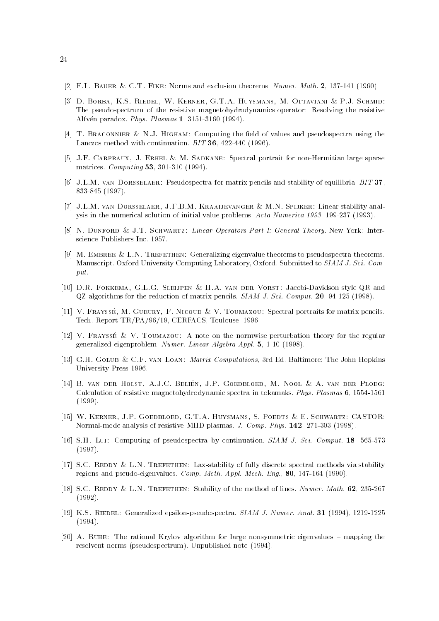- [2] F.L. Bauer & C.T. Fike: Norms and exclusion theorems. Numer. Math. 2, 137-141 (1960).
- [3] D. Borba, K.S. Riedel, W. Kerner, G.T.A. Huysmans, M. Ottaviani & P.J. Schmid: The pseudospectrum of the resistive magnetohydrodynamics operator: Resolving the resistive Alfven paradox. Phys. Plasmas 1, 3151-3160 (1994).
- [4] T. BRACONNIER & N.J. HIGHAM: Computing the field of values and pseudospectra using the Lanczos method with continuation. BIT 36, 422-440 (1996).
- [5] J.F. Carpraux, J. Erhel & M. Sadkane: Spectral portrait for non-Hermitian large sparse matrices. Computing 53, 301-310 (1994).
- [6] J.L.M. van Dorsselaer: Pseudospectra for matrix pencils and stability of equilibria. BIT 37, 833-845 (1997).
- [7] J.L.M. van Dorsselaer, J.F.B.M. Kraaijevanger & M.N. Spijker: Linear stability analysis in the numerical solution of initial value problems. Acta Numerica 1993, 199-237 (1993).
- [8] N. DUNFORD & J.T. SCHWARTZ: Linear Operators Part I: General Theory. New York: Interscience Publishers Inc. 1957.
- [9] M. EMBREE & L.N. TREFETHEN: Generalizing eigenvalue theorems to pseudospectra theorems. Manuscript. Oxford University Computing Laboratory, Oxford. Submitted to SIAM J. Sci. Comput.
- [10] D.R. Fokkema, G.L.G. Sleijpen & H.A. van der Vorst: Jacobi-Davidson style QR and QZ algorithms for the reduction of matrix pencils. SIAM J. Sci. Comput. 20, 94-125 (1998).
- [11] V. FRAYSSÉ, M. GUEURY, F. NICOUD & V. TOUMAZOU: Spectral portraits for matrix pencils. Tech. Report TR/PA/96/19, CERFACS, Toulouse, 1996.
- [12] V. Fraysse & V. Toumazou: A note on the normwise perturbation theory for the regular generalized eigenproblem. Numer. Linear Algebra Appl. 5, 1-10 (1998).
- [13] G.H. Golub & C.F. van Loan: Matrix Computations, 3rd Ed. Baltimore: The John Hopkins University Press 1996.
- [14] B. van der Holst, A.J.C. Belien, J.P. Goedbloed, M. Nool & A. van der Ploeg: Calculation of resistive magnetohydrodynamic spectra in tokamaks. Phys. Plasmas 6, 1554-1561 (1999).
- [15] W. Kerner, J.P. Goedbloed, G.T.A. Huysmans, S. Poedts & E. Schwartz: CASTOR: Normal-mode analysis of resistive MHD plasmas. J. Comp. Phys. 142, 271-303 (1998).
- [16] S.H. Lui: Computing of pseudospectra by continuation. SIAM J. Sci. Comput. 18, 565-573 (1997).
- [17] S.C. REDDY & L.N. TREFETHEN: Lax-stability of fully discrete spectral methods via stability regions and pseudo-eigenvalues. Comp. Meth. Appl. Mech. Eng., 80, 147-164 (1990).
- [18] S.C. REDDY & L.N. TREFETHEN: Stability of the method of lines. Numer. Math. 62, 235-267 (1992).
- [19] K.S. RIEDEL: Generalized epsilon-pseudospectra. SIAM J. Numer. Anal. 31 (1994), 1219-1225 (1994).
- [20] A. RUHE: The rational Krylov algorithm for large nonsymmetric eigenvalues  $-$  mapping the resolvent norms (pseudospectrum). Unpublished note (1994).